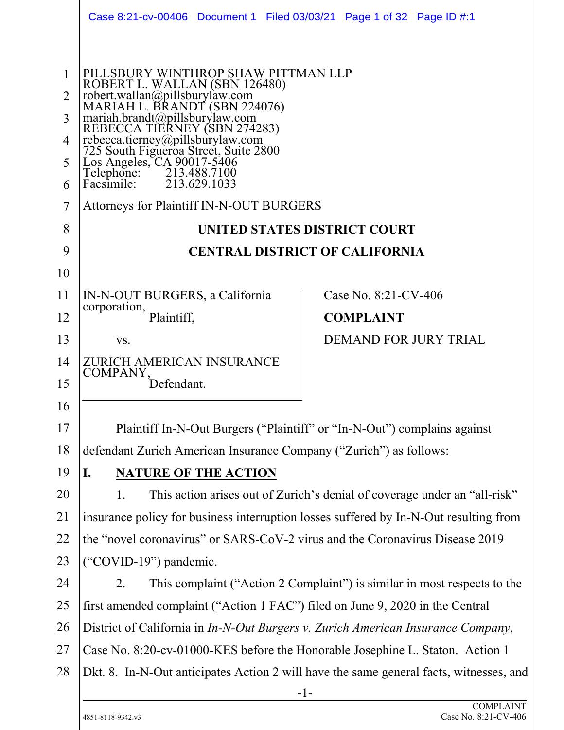|                | Case 8:21-cv-00406 Document 1 Filed 03/03/21 Page 1 of 32 Page ID #:1                                                                   |                                       |  |  |  |  |
|----------------|-----------------------------------------------------------------------------------------------------------------------------------------|---------------------------------------|--|--|--|--|
|                |                                                                                                                                         |                                       |  |  |  |  |
|                |                                                                                                                                         |                                       |  |  |  |  |
|                | PILLSBURY WINTHROP SHAW PITTMAN LLP                                                                                                     |                                       |  |  |  |  |
| $\overline{2}$ | ROBERT L. WALLAN (SBN 126480)<br>robert.wallan@pillsburylaw.com<br>MARIAH L. BRANDT (SBN 224076)                                        |                                       |  |  |  |  |
| 3              | $\text{mariah.brandt}(a)$ pillsburylaw.com                                                                                              |                                       |  |  |  |  |
| 4              | REBECCA TIERNEY (SBN 274283)<br>rebecca.tierney@pillsburylaw.com<br>725 South Figueroa Street, Suite 2800<br>Los Angeles, CA 90017-5406 |                                       |  |  |  |  |
| 5              |                                                                                                                                         |                                       |  |  |  |  |
| 6              | Telephone:<br>Facsimile:<br>213.488.7100<br>213.629.1033                                                                                |                                       |  |  |  |  |
| 7              | <b>Attorneys for Plaintiff IN-N-OUT BURGERS</b>                                                                                         |                                       |  |  |  |  |
| 8              | UNITED STATES DISTRICT COURT                                                                                                            |                                       |  |  |  |  |
| 9              |                                                                                                                                         | <b>CENTRAL DISTRICT OF CALIFORNIA</b> |  |  |  |  |
| 10             |                                                                                                                                         |                                       |  |  |  |  |
| 11             | IN-N-OUT BURGERS, a California                                                                                                          | Case No. 8:21-CV-406                  |  |  |  |  |
| 12             | corporation,<br><b>COMPLAINT</b><br>Plaintiff,                                                                                          |                                       |  |  |  |  |
| 13             | VS.                                                                                                                                     | <b>DEMAND FOR JURY TRIAL</b>          |  |  |  |  |
| 14             | ZURICH AMERICAN INSURANCE<br>COMPANY,                                                                                                   |                                       |  |  |  |  |
| 15             | Defendant.                                                                                                                              |                                       |  |  |  |  |
| 16             |                                                                                                                                         |                                       |  |  |  |  |
| 17             | Plaintiff In-N-Out Burgers ("Plaintiff" or "In-N-Out") complains against                                                                |                                       |  |  |  |  |
| 18             | defendant Zurich American Insurance Company ("Zurich") as follows:                                                                      |                                       |  |  |  |  |
| 19             | <b>NATURE OF THE ACTION</b><br>I.                                                                                                       |                                       |  |  |  |  |
| 20             | This action arises out of Zurich's denial of coverage under an "all-risk"<br>1.                                                         |                                       |  |  |  |  |
| 21             | insurance policy for business interruption losses suffered by In-N-Out resulting from                                                   |                                       |  |  |  |  |
| 22             | the "novel coronavirus" or SARS-CoV-2 virus and the Coronavirus Disease 2019                                                            |                                       |  |  |  |  |
| 23             | "COVID-19") pandemic.                                                                                                                   |                                       |  |  |  |  |
| 24             | This complaint ("Action 2 Complaint") is similar in most respects to the<br>2.                                                          |                                       |  |  |  |  |
| 25             | first amended complaint ("Action 1 FAC") filed on June 9, 2020 in the Central                                                           |                                       |  |  |  |  |
| 26             | District of California in In-N-Out Burgers v. Zurich American Insurance Company,                                                        |                                       |  |  |  |  |
| 27             | Case No. 8:20-cv-01000-KES before the Honorable Josephine L. Staton. Action 1                                                           |                                       |  |  |  |  |
| 28             | Dkt. 8. In-N-Out anticipates Action 2 will have the same general facts, witnesses, and                                                  |                                       |  |  |  |  |
|                |                                                                                                                                         | $-1-$                                 |  |  |  |  |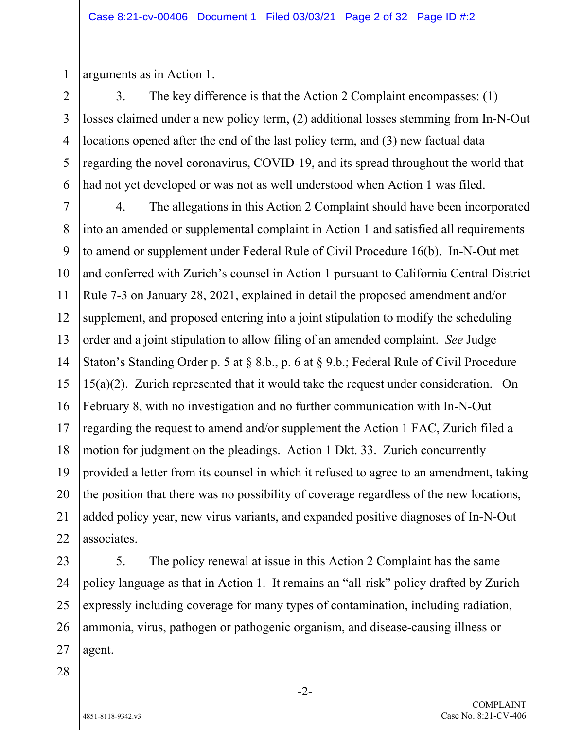arguments as in Action 1.

1

2

3

4

5

6

3. The key difference is that the Action 2 Complaint encompasses: (1) losses claimed under a new policy term, (2) additional losses stemming from In-N-Out locations opened after the end of the last policy term, and (3) new factual data regarding the novel coronavirus, COVID-19, and its spread throughout the world that had not yet developed or was not as well understood when Action 1 was filed.

7 8 9 10 11 12 13 14 15 16 17 18 19 20 21 22 4. The allegations in this Action 2 Complaint should have been incorporated into an amended or supplemental complaint in Action 1 and satisfied all requirements to amend or supplement under Federal Rule of Civil Procedure 16(b). In-N-Out met and conferred with Zurich's counsel in Action 1 pursuant to California Central District Rule 7-3 on January 28, 2021, explained in detail the proposed amendment and/or supplement, and proposed entering into a joint stipulation to modify the scheduling order and a joint stipulation to allow filing of an amended complaint. *See* Judge Staton's Standing Order p. 5 at § 8.b., p. 6 at § 9.b.; Federal Rule of Civil Procedure 15(a)(2). Zurich represented that it would take the request under consideration. On February 8, with no investigation and no further communication with In-N-Out regarding the request to amend and/or supplement the Action 1 FAC, Zurich filed a motion for judgment on the pleadings. Action 1 Dkt. 33. Zurich concurrently provided a letter from its counsel in which it refused to agree to an amendment, taking the position that there was no possibility of coverage regardless of the new locations, added policy year, new virus variants, and expanded positive diagnoses of In-N-Out associates.

23 24 25 26 27 5. The policy renewal at issue in this Action 2 Complaint has the same policy language as that in Action 1. It remains an "all-risk" policy drafted by Zurich expressly including coverage for many types of contamination, including radiation, ammonia, virus, pathogen or pathogenic organism, and disease-causing illness or agent.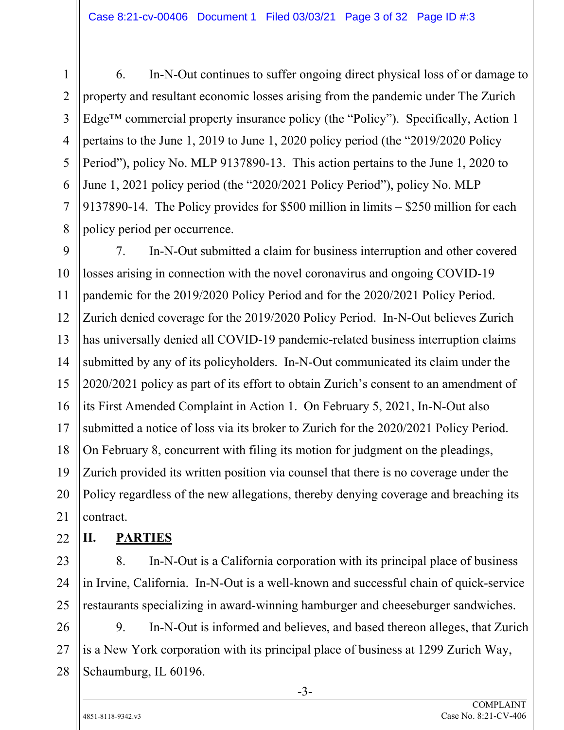6. In-N-Out continues to suffer ongoing direct physical loss of or damage to property and resultant economic losses arising from the pandemic under The Zurich Edge™ commercial property insurance policy (the "Policy"). Specifically, Action 1 pertains to the June 1, 2019 to June 1, 2020 policy period (the "2019/2020 Policy Period"), policy No. MLP 9137890-13. This action pertains to the June 1, 2020 to June 1, 2021 policy period (the "2020/2021 Policy Period"), policy No. MLP 9137890-14. The Policy provides for \$500 million in limits – \$250 million for each policy period per occurrence.

9 10 11 12 7. In-N-Out submitted a claim for business interruption and other covered losses arising in connection with the novel coronavirus and ongoing COVID-19 pandemic for the 2019/2020 Policy Period and for the 2020/2021 Policy Period. Zurich denied coverage for the 2019/2020 Policy Period. In-N-Out believes Zurich has universally denied all COVID-19 pandemic-related business interruption claims submitted by any of its policyholders. In-N-Out communicated its claim under the 2020/2021 policy as part of its effort to obtain Zurich's consent to an amendment of its First Amended Complaint in Action 1. On February 5, 2021, In-N-Out also submitted a notice of loss via its broker to Zurich for the 2020/2021 Policy Period. On February 8, concurrent with filing its motion for judgment on the pleadings, Zurich provided its written position via counsel that there is no coverage under the Policy regardless of the new allegations, thereby denying coverage and breaching its contract.

**II. PARTIES** 

8. In-N-Out is a California corporation with its principal place of business in Irvine, California. In-N-Out is a well-known and successful chain of quick-service restaurants specializing in award-winning hamburger and cheeseburger sandwiches.

28 9. In-N-Out is informed and believes, and based thereon alleges, that Zurich is a New York corporation with its principal place of business at 1299 Zurich Way, Schaumburg, IL 60196.

1

2

3

4

5

6

7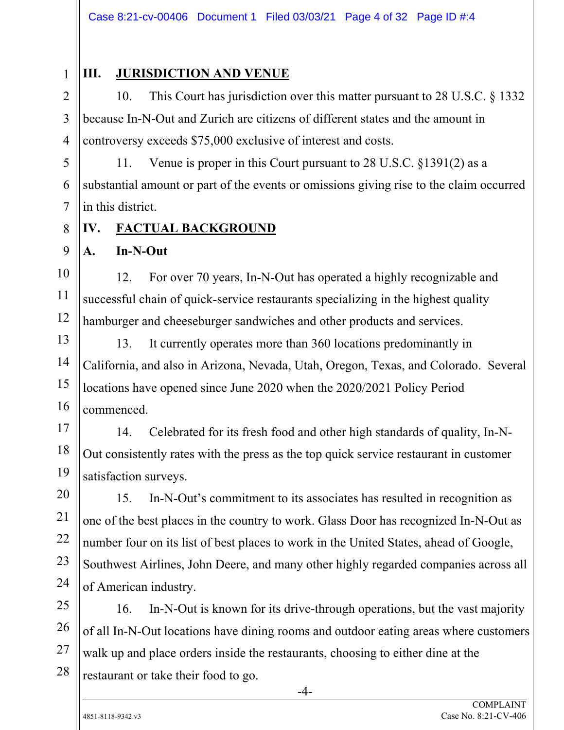1 2

3

4

5

6

7

8

9

10

11

12

13

14

15

16

17

18

19

20

21

22

23

24

# **III. JURISDICTION AND VENUE**

10. This Court has jurisdiction over this matter pursuant to 28 U.S.C. § 1332 because In-N-Out and Zurich are citizens of different states and the amount in controversy exceeds \$75,000 exclusive of interest and costs.

11. Venue is proper in this Court pursuant to 28 U.S.C. §1391(2) as a substantial amount or part of the events or omissions giving rise to the claim occurred in this district.

# **IV. FACTUAL BACKGROUND**

#### **A. In-N-Out**

12. For over 70 years, In-N-Out has operated a highly recognizable and successful chain of quick-service restaurants specializing in the highest quality hamburger and cheeseburger sandwiches and other products and services.

13. It currently operates more than 360 locations predominantly in California, and also in Arizona, Nevada, Utah, Oregon, Texas, and Colorado. Several locations have opened since June 2020 when the 2020/2021 Policy Period commenced.

14. Celebrated for its fresh food and other high standards of quality, In-N-Out consistently rates with the press as the top quick service restaurant in customer satisfaction surveys.

15. In-N-Out's commitment to its associates has resulted in recognition as one of the best places in the country to work. Glass Door has recognized In-N-Out as number four on its list of best places to work in the United States, ahead of Google, Southwest Airlines, John Deere, and many other highly regarded companies across all of American industry.

25 26 27 28 16. In-N-Out is known for its drive-through operations, but the vast majority of all In-N-Out locations have dining rooms and outdoor eating areas where customers walk up and place orders inside the restaurants, choosing to either dine at the restaurant or take their food to go.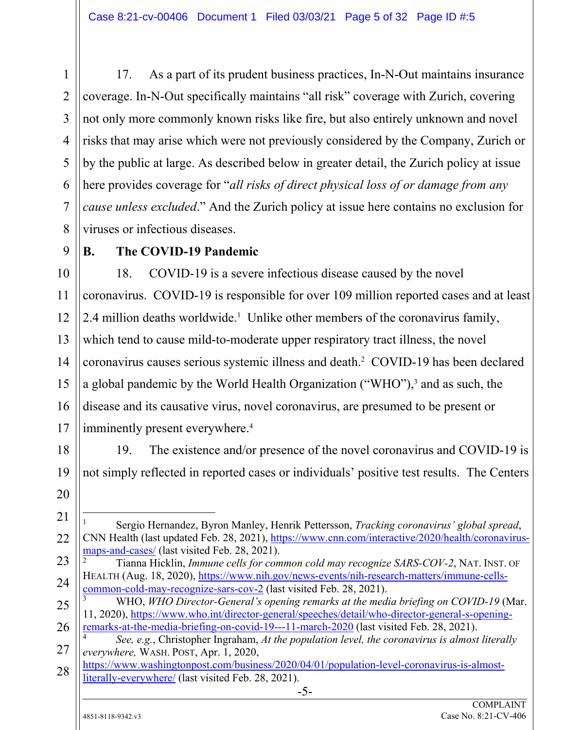17. As a part of its prudent business practices, In-N-Out maintains insurance coverage. In-N-Out specifically maintains "all risk" coverage with Zurich, covering not only more commonly known risks like fire, but also entirely unknown and novel risks that may arise which were not previously considered by the Company, Zurich or by the public at large. As described below in greater detail, the Zurich policy at issue here provides coverage for "*all risks of direct physical loss of or damage from any cause unless excluded*." And the Zurich policy at issue here contains no exclusion for viruses or infectious diseases.

9

1

2

3

4

5

6

7

8

# **B. The COVID-19 Pandemic**

10 11 12 13 14 15 16 17 18. COVID-19 is a severe infectious disease caused by the novel coronavirus. COVID-19 is responsible for over 109 million reported cases and at least 2.4 million deaths worldwide.<sup>1</sup> Unlike other members of the coronavirus family, which tend to cause mild-to-moderate upper respiratory tract illness, the novel coronavirus causes serious systemic illness and death.2 COVID-19 has been declared a global pandemic by the World Health Organization ("WHO"),<sup>3</sup> and as such, the disease and its causative virus, novel coronavirus, are presumed to be present or imminently present everywhere.<sup>4</sup>

18 20 19. The existence and/or presence of the novel coronavirus and COVID-19 is not simply reflected in reported cases or individuals' positive test results. The Centers

2 Tianna Hicklin, *Immune cells for common cold may recognize SARS-COV-2*, NAT. INST. OF HEALTH (Aug. 18, 2020), https://www.nih.gov/news-events/nih-research-matters/immune-cellscommon-cold-may-recognize-sars-cov-2 (last visited Feb. 28, 2021).

25 3 WHO, *WHO Director-General's opening remarks at the media briefing on COVID-19* (Mar. 11, 2020), https://www.who.int/director-general/speeches/detail/who-director-general-s-openingremarks-at-the-media-briefing-on-covid-19---11-march-2020 (last visited Feb. 28, 2021).

-5-

4  *See, e.g.*, Christopher Ingraham, *At the population level, the coronavirus is almost literally everywhere,* WASH. POST, Apr. 1, 2020,

https://www.washingtonpost.com/business/2020/04/01/population-level-coronavirus-is-almostliterally-everywhere/ (last visited Feb. 28, 2021).

19

21

22

23

<sup>-</sup>1 Sergio Hernandez, Byron Manley, Henrik Pettersson, *Tracking coronavirus' global spread*, CNN Health (last updated Feb. 28, 2021), https://www.cnn.com/interactive/2020/health/coronavirusmaps-and-cases/ (last visited Feb. 28, 2021).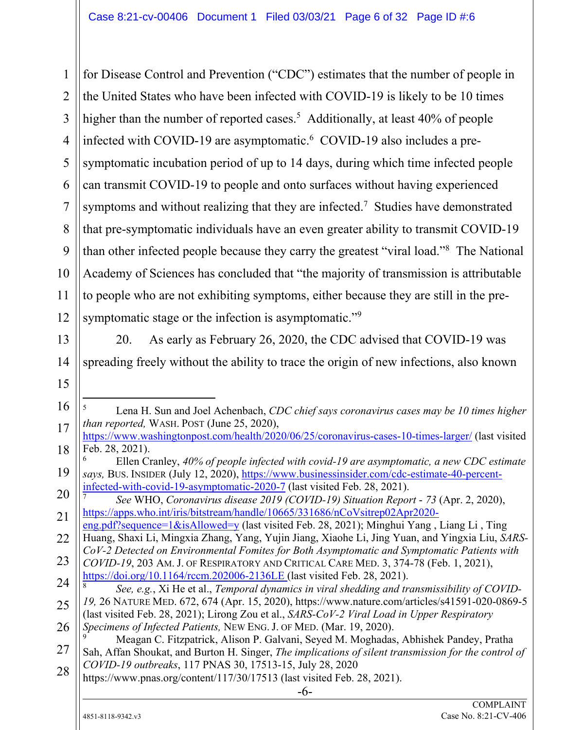1 2 3 4 5 6 7 8 9 10 11 12 for Disease Control and Prevention ("CDC") estimates that the number of people in the United States who have been infected with COVID-19 is likely to be 10 times higher than the number of reported cases.<sup>5</sup> Additionally, at least 40% of people infected with COVID-19 are asymptomatic.<sup>6</sup> COVID-19 also includes a presymptomatic incubation period of up to 14 days, during which time infected people can transmit COVID-19 to people and onto surfaces without having experienced symptoms and without realizing that they are infected.<sup>7</sup> Studies have demonstrated that pre-symptomatic individuals have an even greater ability to transmit COVID-19 than other infected people because they carry the greatest "viral load."<sup>8</sup> The National Academy of Sciences has concluded that "the majority of transmission is attributable to people who are not exhibiting symptoms, either because they are still in the presymptomatic stage or the infection is asymptomatic."<sup>9</sup>

20. As early as February 26, 2020, the CDC advised that COVID-19 was

Lena H. Sun and Joel Achenbach, *CDC chief says coronavirus cases may be 10 times higher* 

Ellen Cranley, *40% of people infected with covid-19 are asymptomatic, a new CDC estimate* 

spreading freely without the ability to trace the origin of new infections, also known

https://www.washingtonpost.com/health/2020/06/25/coronavirus-cases-10-times-larger/ (last visited

*says,* BUS. INSIDER (July 12, 2020), https://www.businessinsider.com/cdc-estimate-40-percent-

-5

6

Feb. 28, 2021).

*than reported,* WASH. POST (June 25, 2020),

- 17
- 18 19

20

21

22

infected-with-covid-19-asymptomatic-2020-7 (last visited Feb. 28, 2021).

<sup>7</sup>  *See* WHO, *Coronavirus disease 2019 (COVID-19) Situation Report* - *73* (Apr. 2, 2020), https://apps.who.int/iris/bitstream/handle/10665/331686/nCoVsitrep02Apr2020 eng.pdf?sequence=1&isAllowed=y (last visited Feb. 28, 2021); Minghui Yang , Liang Li , Ting Huang, Shaxi Li, Mingxia Zhang, Yang, Yujin Jiang, Xiaohe Li, Jing Yuan, and Yingxia Liu, *SARS-CoV-2 Detected on Environmental Fomites for Both Asymptomatic and Symptomatic Patients with COVID-19*, 203 AM. J. OF RESPIRATORY AND CRITICAL CARE MED. 3, 374-78 (Feb. 1, 2021),

<sup>23</sup> 24 https://doi.org/10.1164/rccm.202006-2136LE (last visited Feb. 28, 2021). 8  *See, e.g.*, Xi He et al., *Temporal dynamics in viral shedding and transmissibility of COVID-*

<sup>25</sup> *19,* 26 NATURE MED. 672, 674 (Apr. 15, 2020), https://www.nature.com/articles/s41591-020-0869-5

<sup>26</sup> (last visited Feb. 28, 2021); Lirong Zou et al., *SARS-CoV-2 Viral Load in Upper Respiratory Specimens of Infected Patients,* NEW ENG. J. OF MED. (Mar. 19, 2020).

<sup>27</sup> 28 9 Meagan C. Fitzpatrick, Alison P. Galvani, Seyed M. Moghadas, Abhishek Pandey, Pratha Sah, Affan Shoukat, and Burton H. Singer, *The implications of silent transmission for the control of COVID-19 outbreaks*, 117 PNAS 30, 17513-15, July 28, 2020

https://www.pnas.org/content/117/30/17513 (last visited Feb. 28, 2021).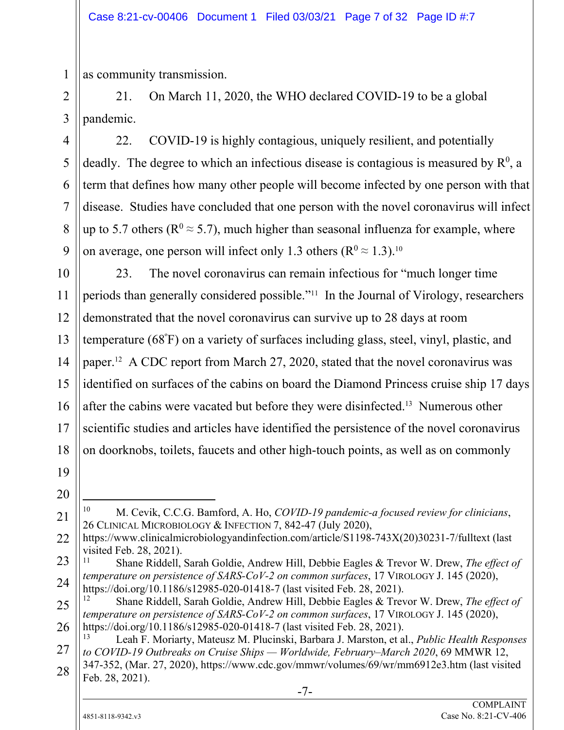as community transmission.

21. On March 11, 2020, the WHO declared COVID-19 to be a global pandemic.

22. COVID-19 is highly contagious, uniquely resilient, and potentially deadly. The degree to which an infectious disease is contagious is measured by  $\mathbb{R}^0$ , a term that defines how many other people will become infected by one person with that disease. Studies have concluded that one person with the novel coronavirus will infect up to 5.7 others ( $\mathbb{R}^0 \approx 5.7$ ), much higher than seasonal influenza for example, where on average, one person will infect only 1.3 others ( $\mathbb{R}^0 \approx 1.3$ ).<sup>10</sup>

10 11 12 13 14 15 16 17 18 23. The novel coronavirus can remain infectious for "much longer time periods than generally considered possible."11 In the Journal of Virology, researchers demonstrated that the novel coronavirus can survive up to 28 days at room temperature (68º F) on a variety of surfaces including glass, steel, vinyl, plastic, and paper.12 A CDC report from March 27, 2020, stated that the novel coronavirus was identified on surfaces of the cabins on board the Diamond Princess cruise ship 17 days after the cabins were vacated but before they were disinfected.13 Numerous other scientific studies and articles have identified the persistence of the novel coronavirus on doorknobs, toilets, faucets and other high-touch points, as well as on commonly

19

1

2

3

4

5

6

7

8

9

20 21

10 10 M. Cevik, C.C.G. Bamford, A. Ho, *COVID-19 pandemic-a focused review for clinicians*, 26 CLINICAL MICROBIOLOGY & INFECTION 7, 842-47 (July 2020),

- 22 https://www.clinicalmicrobiologyandinfection.com/article/S1198-743X(20)30231-7/fulltext (last visited Feb. 28, 2021).
- 23 24 11 Shane Riddell, Sarah Goldie, Andrew Hill, Debbie Eagles & Trevor W. Drew, *The effect of temperature on persistence of SARS-CoV-2 on common surfaces*, 17 VIROLOGY J. 145 (2020), https://doi.org/10.1186/s12985-020-01418-7 (last visited Feb. 28, 2021).

<sup>25</sup> 26 12 Shane Riddell, Sarah Goldie, Andrew Hill, Debbie Eagles & Trevor W. Drew, *The effect of temperature on persistence of SARS-CoV-2 on common surfaces*, 17 VIROLOGY J. 145 (2020), https://doi.org/10.1186/s12985-020-01418-7 (last visited Feb. 28, 2021).

<sup>27</sup> 28 13 Leah F. Moriarty, Mateusz M. Plucinski, Barbara J. Marston, et al., *Public Health Responses to COVID-19 Outbreaks on Cruise Ships — Worldwide, February–March 2020*, 69 MMWR 12, 347-352, (Mar. 27, 2020), https://www.cdc.gov/mmwr/volumes/69/wr/mm6912e3.htm (last visited Feb. 28, 2021).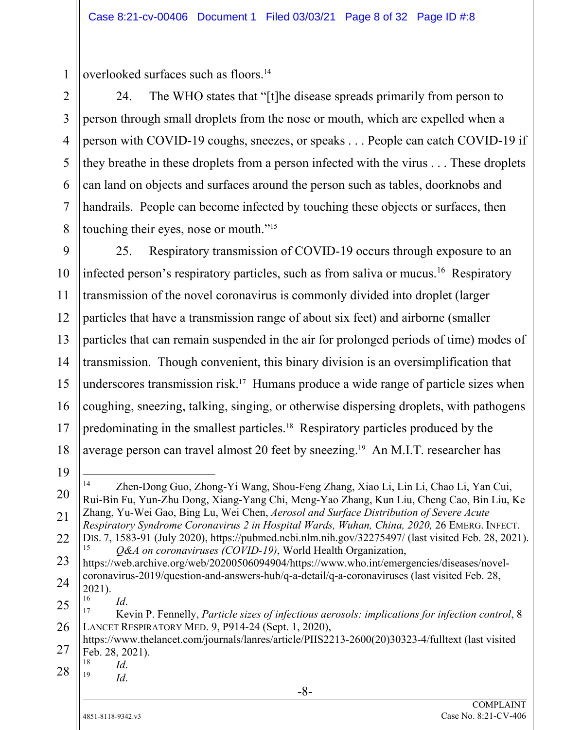overlooked surfaces such as floors.14

24. The WHO states that "[t]he disease spreads primarily from person to person through small droplets from the nose or mouth, which are expelled when a person with COVID-19 coughs, sneezes, or speaks . . . People can catch COVID-19 if they breathe in these droplets from a person infected with the virus . . . These droplets can land on objects and surfaces around the person such as tables, doorknobs and handrails. People can become infected by touching these objects or surfaces, then touching their eyes, nose or mouth."15

9 10 11 12 13 14 15 16 17 18 25. Respiratory transmission of COVID-19 occurs through exposure to an infected person's respiratory particles, such as from saliva or mucus.<sup>16</sup> Respiratory transmission of the novel coronavirus is commonly divided into droplet (larger particles that have a transmission range of about six feet) and airborne (smaller particles that can remain suspended in the air for prolonged periods of time) modes of transmission. Though convenient, this binary division is an oversimplification that underscores transmission risk.<sup>17</sup> Humans produce a wide range of particle sizes when coughing, sneezing, talking, singing, or otherwise dispersing droplets, with pathogens predominating in the smallest particles.18 Respiratory particles produced by the average person can travel almost 20 feet by sneezing.19 An M.I.T. researcher has

19

20

21

22

1

2

3

4

5

6

7

8

<sup>-</sup>14 Zhen-Dong Guo, Zhong-Yi Wang, Shou-Feng Zhang, Xiao Li, Lin Li, Chao Li, Yan Cui, Rui-Bin Fu, Yun-Zhu Dong, Xiang-Yang Chi, Meng-Yao Zhang, Kun Liu, Cheng Cao, Bin Liu, Ke Zhang, Yu-Wei Gao, Bing Lu, Wei Chen, *Aerosol and Surface Distribution of Severe Acute Respiratory Syndrome Coronavirus 2 in Hospital Wards, Wuhan, China, 2020,* 26 EMERG. INFECT. DIS. 7, 1583-91 (July 2020), https://pubmed.ncbi.nlm.nih.gov/32275497/ (last visited Feb. 28, 2021).<br>  $\frac{0.64}{0.064}$  on coronaviruses (COVID-19) World Health Organization

<sup>15</sup> *Q&A on coronaviruses (COVID-19)*, World Health Organization,

<sup>23</sup> 24 https://web.archive.org/web/20200506094904/https://www.who.int/emergencies/diseases/novelcoronavirus-2019/question-and-answers-hub/q-a-detail/q-a-coronaviruses (last visited Feb. 28,  $2021$ ).

<sup>25</sup> 26 <sup>16</sup> *Id.*<br><sup>17</sup> Kevin P. Fennelly, *Particle sizes of infectious aerosols: implications for infection control*, 8 LANCET RESPIRATORY MED. 9, P914-24 (Sept. 1, 2020),

<sup>27</sup> https://www.thelancet.com/journals/lanres/article/PIIS2213-2600(20)30323-4/fulltext (last visited Feb. 28, 2021).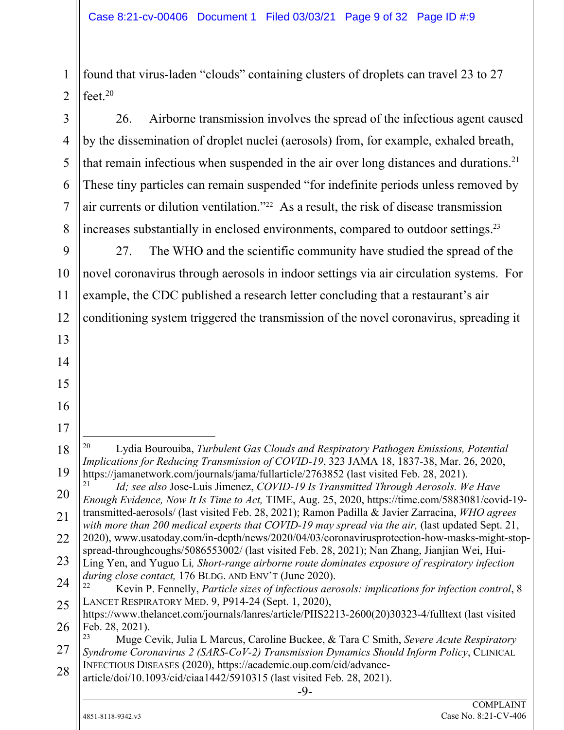found that virus-laden "clouds" containing clusters of droplets can travel 23 to 27 feet.<sup>20</sup>

26. Airborne transmission involves the spread of the infectious agent caused by the dissemination of droplet nuclei (aerosols) from, for example, exhaled breath, that remain infectious when suspended in the air over long distances and durations.<sup>21</sup> These tiny particles can remain suspended "for indefinite periods unless removed by air currents or dilution ventilation."22 As a result, the risk of disease transmission increases substantially in enclosed environments, compared to outdoor settings.23

27. The WHO and the scientific community have studied the spread of the novel coronavirus through aerosols in indoor settings via air circulation systems. For example, the CDC published a research letter concluding that a restaurant's air conditioning system triggered the transmission of the novel coronavirus, spreading it

Lydia Bourouiba, *Turbulent Gas Clouds and Respiratory Pathogen Emissions, Potential Implications for Reducing Transmission of COVID-19*, 323 JAMA 18, 1837-38, Mar. 26, 2020, https://jamanetwork.com/journals/jama/fullarticle/2763852 (last visited Feb. 28, 2021).

20 <sup>21</sup> *Id; see also* Jose-Luis Jimenez, *COVID-19 Is Transmitted Through Aerosols. We Have Enough Evidence, Now It Is Time to Act,* TIME, Aug. 25, 2020, https://time.com/5883081/covid-19 transmitted-aerosols/ (last visited Feb. 28, 2021); Ramon Padilla & Javier Zarracina, *WHO agrees with more than 200 medical experts that COVID-19 may spread via the air,* (last updated Sept. 21,

22 2020), www.usatoday.com/in-depth/news/2020/04/03/coronavirusprotection-how-masks-might-stopspread-throughcoughs/5086553002/ (last visited Feb. 28, 2021); Nan Zhang, Jianjian Wei, Hui-

25 <sup>22</sup> Kevin P. Fennelly, *Particle sizes of infectious aerosols: implications for infection control*, 8 LANCET RESPIRATORY MED. 9, P914-24 (Sept. 1, 2020),

1

2

3

4

5

6

7

8

9

10

11

12

13

14

15

16

17

-

18

19

<sup>23</sup> 24 Ling Yen, and Yuguo Li*, Short-range airborne route dominates exposure of respiratory infection during close contact,* 176 BLDG. AND ENV'T (June 2020).

<sup>26</sup> https://www.thelancet.com/journals/lanres/article/PIIS2213-2600(20)30323-4/fulltext (last visited Feb. 28, 2021).

<sup>27</sup> 28 23 Muge Cevik, Julia L Marcus, Caroline Buckee, & Tara C Smith, *Severe Acute Respiratory Syndrome Coronavirus 2 (SARS-CoV-2) Transmission Dynamics Should Inform Policy*, CLINICAL INFECTIOUS DISEASES (2020), https://academic.oup.com/cid/advance-

article/doi/10.1093/cid/ciaa1442/5910315 (last visited Feb. 28, 2021).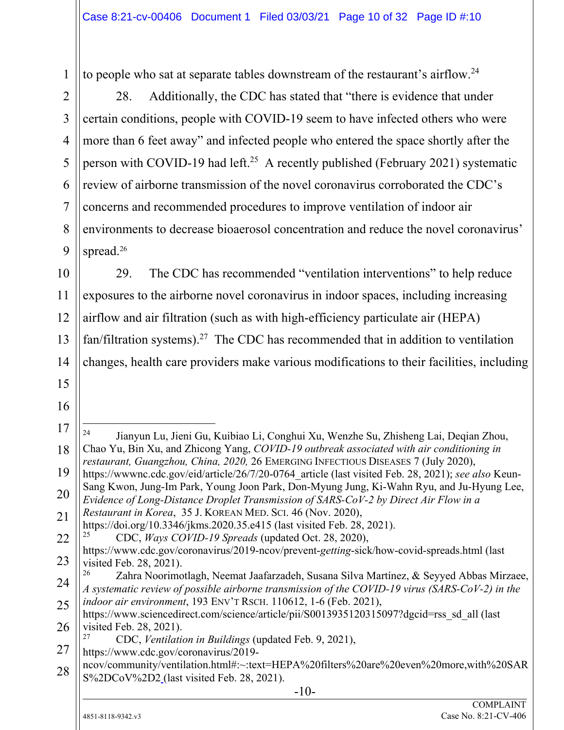to people who sat at separate tables downstream of the restaurant's airflow.<sup>24</sup>

28. Additionally, the CDC has stated that "there is evidence that under certain conditions, people with COVID-19 seem to have infected others who were more than 6 feet away" and infected people who entered the space shortly after the person with COVID-19 had left.<sup>25</sup> A recently published (February 2021) systematic review of airborne transmission of the novel coronavirus corroborated the CDC's concerns and recommended procedures to improve ventilation of indoor air environments to decrease bioaerosol concentration and reduce the novel coronavirus' spread.<sup>26</sup>

10 11 12 13 14 29. The CDC has recommended "ventilation interventions" to help reduce exposures to the airborne novel coronavirus in indoor spaces, including increasing airflow and air filtration (such as with high-efficiency particulate air (HEPA) fan/filtration systems).<sup>27</sup> The CDC has recommended that in addition to ventilation changes, health care providers make various modifications to their facilities, including

Jianyun Lu, Jieni Gu, Kuibiao Li, Conghui Xu, Wenzhe Su, Zhisheng Lai, Deqian Zhou,

Chao Yu, Bin Xu, and Zhicong Yang, *COVID-19 outbreak associated with air conditioning in restaurant, Guangzhou, China, 2020,* 26 EMERGING INFECTIOUS DISEASES 7 (July 2020),

*Evidence of Long-Distance Droplet Transmission of SARS-CoV-2 by Direct Air Flow in a* 

https://wwwnc.cdc.gov/eid/article/26/7/20-0764\_article (last visited Feb. 28, 2021); *see also* Keun-Sang Kwon, Jung-Im Park, Young Joon Park, Don-Myung Jung, Ki-Wahn Ryu, and Ju-Hyung Lee,

15 16

1

2

3

4

5

6

7

8

9

17

 $24$ 

18

19

20

21

22 23 24 25 26 27 28 https://doi.org/10.3346/jkms.2020.35.e415 (last visited Feb. 28, 2021). 25 CDC, *Ways COVID-19 Spreads* (updated Oct. 28, 2020), https://www.cdc.gov/coronavirus/2019-ncov/prevent-*getting*-sick/how-covid-spreads.html (last visited Feb. 28, 2021). Zahra Noorimotlagh, Neemat Jaafarzadeh, Susana Silva Martínez, & Seyyed Abbas Mirzaee, *A systematic review of possible airborne transmission of the COVID-19 virus (SARS-CoV-2) in the indoor air environment*, 193 ENV'T RSCH. 110612, 1-6 (Feb. 2021), https://www.sciencedirect.com/science/article/pii/S0013935120315097?dgcid=rss\_sd\_all (last visited Feb.  $28, 2021$ ). 27 CDC, *Ventilation in Buildings* (updated Feb. 9, 2021), https://www.cdc.gov/coronavirus/2019 ncov/community/ventilation.html#:~:text=HEPA%20filters%20are%20even%20more,with%20SAR

*Restaurant in Korea*, 35 J. KOREAN MED. SCI. 46 (Nov. 2020),

S%2DCoV%2D2 (last visited Feb. 28, 2021).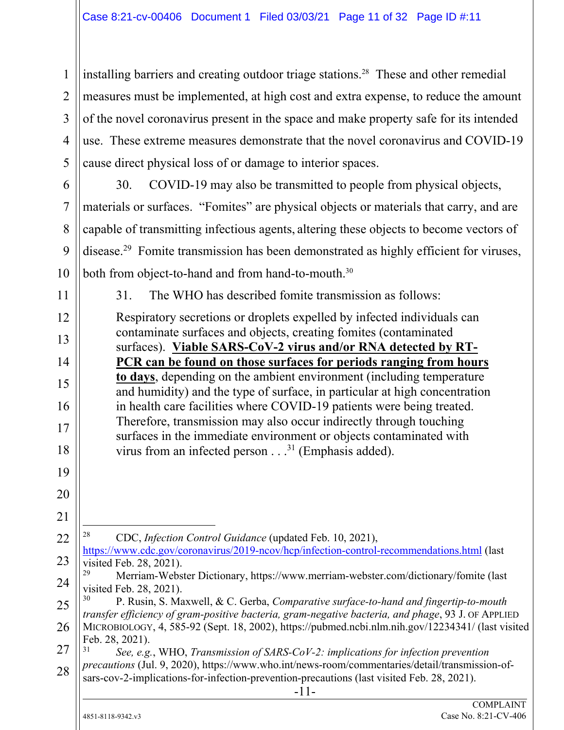1 2 3 4 5 installing barriers and creating outdoor triage stations.<sup>28</sup> These and other remedial measures must be implemented, at high cost and extra expense, to reduce the amount of the novel coronavirus present in the space and make property safe for its intended use. These extreme measures demonstrate that the novel coronavirus and COVID-19 cause direct physical loss of or damage to interior spaces.

6 7 8 9 10 30. COVID-19 may also be transmitted to people from physical objects, materials or surfaces. "Fomites" are physical objects or materials that carry, and are capable of transmitting infectious agents, altering these objects to become vectors of disease.29 Fomite transmission has been demonstrated as highly efficient for viruses, both from object-to-hand and from hand-to-mouth.<sup>30</sup>

31. The WHO has described fomite transmission as follows:

Respiratory secretions or droplets expelled by infected individuals can contaminate surfaces and objects, creating fomites (contaminated surfaces). **Viable SARS-CoV-2 virus and/or RNA detected by RT-PCR can be found on those surfaces for periods ranging from hours to days**, depending on the ambient environment (including temperature and humidity) and the type of surface, in particular at high concentration in health care facilities where COVID-19 patients were being treated. Therefore, transmission may also occur indirectly through touching surfaces in the immediate environment or objects contaminated with virus from an infected person  $\dots$ <sup>31</sup> (Emphasis added).

 $\overline{a}$ 28 CDC, *Infection Control Guidance* (updated Feb. 10, 2021), https://www.cdc.gov/coronavirus/2019-ncov/hcp/infection-control-recommendations.html (last visited Feb. 28, 2021).

24 Merriam-Webster Dictionary, https://www.merriam-webster.com/dictionary/fomite (last visited Feb. 28, 2021).

25 26 30 P. Rusin, S. Maxwell, & C. Gerba, *Comparative surface‐to‐hand and fingertip‐to‐mouth transfer efficiency of gram‐positive bacteria, gram‐negative bacteria, and phage*, 93 J. OF APPLIED MICROBIOLOGY, 4, 585-92 (Sept. 18, 2002), https://pubmed.ncbi.nlm.nih.gov/12234341/ (last visited Feb. 28, 2021).

27 28 <sup>31</sup> *See, e.g.*, WHO, *Transmission of SARS-CoV-2: implications for infection prevention precautions* (Jul. 9, 2020), https://www.who.int/news-room/commentaries/detail/transmission-ofsars-cov-2-implications-for-infection-prevention-precautions (last visited Feb. 28, 2021).

11

12

13

14

15

16

17

18

19

20

21

22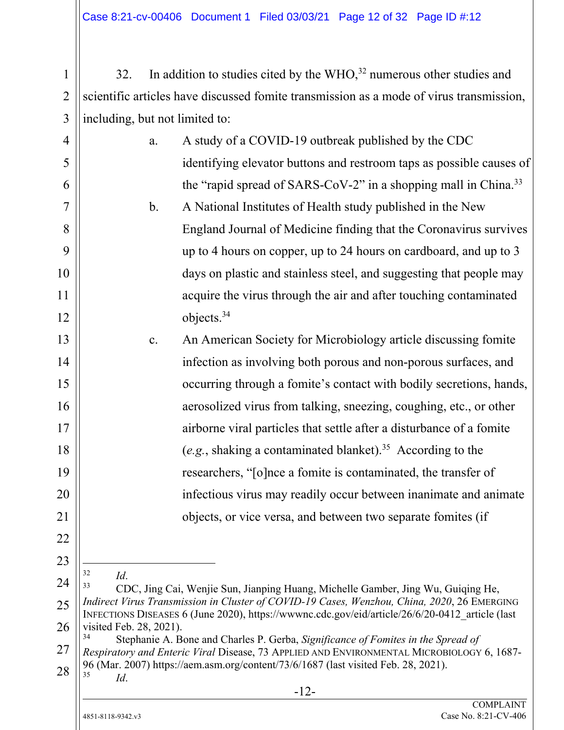32. In addition to studies cited by the  $WHO<sub>1</sub><sup>32</sup>$  numerous other studies and scientific articles have discussed fomite transmission as a mode of virus transmission, ||including, but not limited to:

| $\overline{4}$ | a.                            | A study of a COVID-19 outbreak published by the CDC                                                                                                                                            |
|----------------|-------------------------------|------------------------------------------------------------------------------------------------------------------------------------------------------------------------------------------------|
| 5              |                               | identifying elevator buttons and restroom taps as possible causes of                                                                                                                           |
| 6              |                               | the "rapid spread of SARS-CoV-2" in a shopping mall in China. <sup>33</sup>                                                                                                                    |
| 7              | $\mathbf b$ .                 | A National Institutes of Health study published in the New                                                                                                                                     |
| 8              |                               | England Journal of Medicine finding that the Coronavirus survives                                                                                                                              |
| 9              |                               | up to 4 hours on copper, up to 24 hours on cardboard, and up to 3                                                                                                                              |
| 10             |                               | days on plastic and stainless steel, and suggesting that people may                                                                                                                            |
| 11             |                               | acquire the virus through the air and after touching contaminated                                                                                                                              |
| 12             |                               | objects. $34$                                                                                                                                                                                  |
| 13             | c.                            | An American Society for Microbiology article discussing fomite                                                                                                                                 |
| 14             |                               | infection as involving both porous and non-porous surfaces, and                                                                                                                                |
| 15             |                               | occurring through a fomite's contact with bodily secretions, hands,                                                                                                                            |
| 16             |                               | aerosolized virus from talking, sneezing, coughing, etc., or other                                                                                                                             |
| 17             |                               | airborne viral particles that settle after a disturbance of a fomite                                                                                                                           |
| 18             |                               | (e.g., shaking a contaminated blanket). <sup>35</sup> According to the                                                                                                                         |
| 19             |                               | researchers, "[o]nce a fomite is contaminated, the transfer of                                                                                                                                 |
| 20             |                               | infectious virus may readily occur between inanimate and animate                                                                                                                               |
| 21             |                               | objects, or vice versa, and between two separate fomites (if                                                                                                                                   |
| 22             |                               |                                                                                                                                                                                                |
| 23             | 32                            |                                                                                                                                                                                                |
| 24             | Id.<br>33                     | CDC, Jing Cai, Wenjie Sun, Jianping Huang, Michelle Gamber, Jing Wu, Guiqing He,                                                                                                               |
| 25             |                               | Indirect Virus Transmission in Cluster of COVID-19 Cases, Wenzhou, China, 2020, 26 EMERGING<br>INFECTIONS DISEASES 6 (June 2020), https://wwwnc.cdc.gov/eid/article/26/6/20-0412_article (last |
| 26             | visited Feb. 28, 2021).<br>34 | Stephanie A. Bone and Charles P. Gerba, Significance of Fomites in the Spread of                                                                                                               |
| 27             |                               | Respiratory and Enteric Viral Disease, 73 APPLIED AND ENVIRONMENTAL MICROBIOLOGY 6, 1687-                                                                                                      |
| 28             | 35<br>Id.                     | 96 (Mar. 2007) https://aem.asm.org/content/73/6/1687 (last visited Feb. 28, 2021).                                                                                                             |
|                |                               | $-12-$                                                                                                                                                                                         |

1

2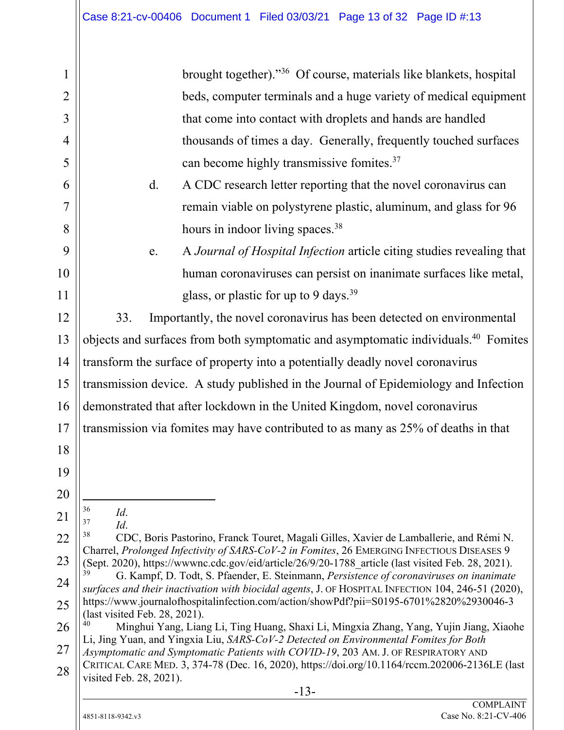-13- 1 2 3 4 5 6 7 8 9 10 11 12 13 14 15 16 17 18 19 20 21 22 23 24 25 26 27 28 brought together)."36 Of course, materials like blankets, hospital beds, computer terminals and a huge variety of medical equipment that come into contact with droplets and hands are handled thousands of times a day. Generally, frequently touched surfaces can become highly transmissive fomites.37 d. A CDC research letter reporting that the novel coronavirus can remain viable on polystyrene plastic, aluminum, and glass for 96 hours in indoor living spaces.<sup>38</sup> e. A *Journal of Hospital Infection* article citing studies revealing that human coronaviruses can persist on inanimate surfaces like metal, glass, or plastic for up to 9 days.<sup>39</sup> 33. Importantly, the novel coronavirus has been detected on environmental objects and surfaces from both symptomatic and asymptomatic individuals.40 Fomites transform the surface of property into a potentially deadly novel coronavirus transmission device. A study published in the Journal of Epidemiology and Infection demonstrated that after lockdown in the United Kingdom, novel coronavirus transmission via fomites may have contributed to as many as 25% of deaths in that 36 <sup>36</sup> *Id.*<br><sup>37</sup> *Id.* CDC, Boris Pastorino, Franck Touret, Magali Gilles, Xavier de Lamballerie, and Rémi N. Charrel, *Prolonged Infectivity of SARS-CoV-2 in Fomites*, 26 EMERGING INFECTIOUS DISEASES 9 (Sept. 2020), https://wwwnc.cdc.gov/eid/article/26/9/20-1788\_article (last visited Feb. 28, 2021). 39 G. Kampf, D. Todt, S. Pfaender, E. Steinmann, *Persistence of coronaviruses on inanimate surfaces and their inactivation with biocidal agents*, J. OF HOSPITAL INFECTION 104, 246-51 (2020), https://www.journalofhospitalinfection.com/action/showPdf?pii=S0195-6701%2820%2930046-3 (last visited Feb. 28, 2021). 40 Minghui Yang, Liang Li, Ting Huang, Shaxi Li, Mingxia Zhang, Yang, Yujin Jiang, Xiaohe Li, Jing Yuan, and Yingxia Liu, *SARS-CoV-2 Detected on Environmental Fomites for Both Asymptomatic and Symptomatic Patients with COVID-19*, 203 AM. J. OF RESPIRATORY AND CRITICAL CARE MED. 3, 374-78 (Dec. 16, 2020), https://doi.org/10.1164/rccm.202006-2136LE (last visited Feb. 28, 2021).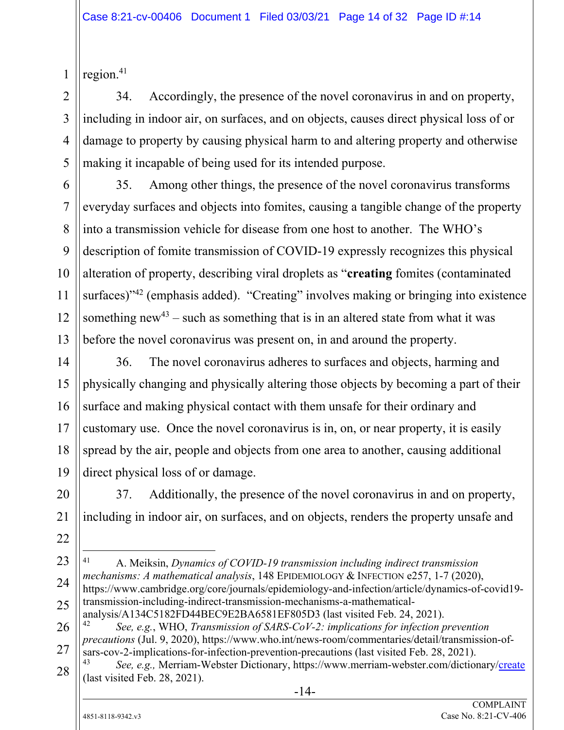region.41

34. Accordingly, the presence of the novel coronavirus in and on property, including in indoor air, on surfaces, and on objects, causes direct physical loss of or damage to property by causing physical harm to and altering property and otherwise making it incapable of being used for its intended purpose.

35. Among other things, the presence of the novel coronavirus transforms everyday surfaces and objects into fomites, causing a tangible change of the property into a transmission vehicle for disease from one host to another. The WHO's description of fomite transmission of COVID-19 expressly recognizes this physical alteration of property, describing viral droplets as "**creating** fomites (contaminated surfaces)<sup>342</sup> (emphasis added). "Creating" involves making or bringing into existence something new<sup>43</sup> – such as something that is in an altered state from what it was before the novel coronavirus was present on, in and around the property.

36. The novel coronavirus adheres to surfaces and objects, harming and physically changing and physically altering those objects by becoming a part of their surface and making physical contact with them unsafe for their ordinary and customary use. Once the novel coronavirus is in, on, or near property, it is easily spread by the air, people and objects from one area to another, causing additional direct physical loss of or damage.

37. Additionally, the presence of the novel coronavirus in and on property, including in indoor air, on surfaces, and on objects, renders the property unsafe and

 $\overline{a}$ 41 A. Meiksin, *Dynamics of COVID-19 transmission including indirect transmission mechanisms: A mathematical analysis*, 148 EPIDEMIOLOGY & INFECTION e257, 1-7 (2020), https://www.cambridge.org/core/journals/epidemiology-and-infection/article/dynamics-of-covid19 transmission-including-indirect-transmission-mechanisms-a-mathematical-

analysis/A134C5182FD44BEC9E2BA6581EF805D3 (last visited Feb. 24, 2021).

<sup>42</sup> *See, e.g.*, WHO, *Transmission of SARS-CoV-2: implications for infection prevention precautions* (Jul. 9, 2020), https://www.who.int/news-room/commentaries/detail/transmission-ofsars-cov-2-implications-for-infection-prevention-precautions (last visited Feb. 28, 2021).

See, e.g., Merriam-Webster Dictionary, https://www.merriam-webster.com/dictionary/create (last visited Feb. 28, 2021).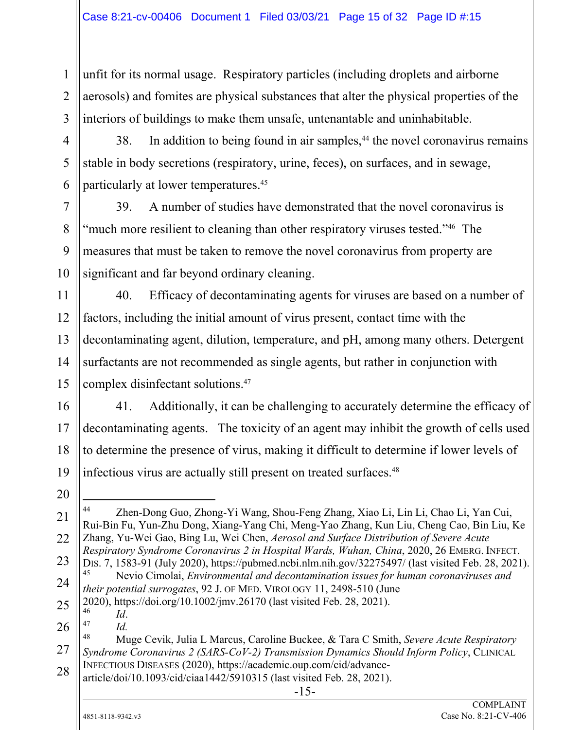unfit for its normal usage. Respiratory particles (including droplets and airborne aerosols) and fomites are physical substances that alter the physical properties of the interiors of buildings to make them unsafe, untenantable and uninhabitable.

38. In addition to being found in air samples,<sup>44</sup> the novel coronavirus remains stable in body secretions (respiratory, urine, feces), on surfaces, and in sewage, particularly at lower temperatures.45

39. A number of studies have demonstrated that the novel coronavirus is "much more resilient to cleaning than other respiratory viruses tested."<sup>46</sup> The measures that must be taken to remove the novel coronavirus from property are significant and far beyond ordinary cleaning.

40. Efficacy of decontaminating agents for viruses are based on a number of factors, including the initial amount of virus present, contact time with the decontaminating agent, dilution, temperature, and pH, among many others. Detergent surfactants are not recommended as single agents, but rather in conjunction with complex disinfectant solutions.47

16 17 18 19 41. Additionally, it can be challenging to accurately determine the efficacy of decontaminating agents. The toxicity of an agent may inhibit the growth of cells used to determine the presence of virus, making it difficult to determine if lower levels of infectious virus are actually still present on treated surfaces.48

20

21

22

23

1

2

3

4

5

6

7

8

9

10

11

12

13

14

15

25 2020), https://doi.org/10.1002/jmv.26170 (last visited Feb. 28, 2021).

<sup>46</sup> *Id*. 47 *Id.* 

article/doi/10.1093/cid/ciaa1442/5910315 (last visited Feb. 28, 2021).

<sup>44</sup> Zhen-Dong Guo, Zhong-Yi Wang, Shou-Feng Zhang, Xiao Li, Lin Li, Chao Li, Yan Cui, Rui-Bin Fu, Yun-Zhu Dong, Xiang-Yang Chi, Meng-Yao Zhang, Kun Liu, Cheng Cao, Bin Liu, Ke Zhang, Yu-Wei Gao, Bing Lu, Wei Chen, *Aerosol and Surface Distribution of Severe Acute Respiratory Syndrome Coronavirus 2 in Hospital Wards, Wuhan, China*, 2020, 26 EMERG. INFECT. DIS. 7, 1583-91 (July 2020), https://pubmed.ncbi.nlm.nih.gov/32275497/ (last visited Feb. 28, 2021).

<sup>24</sup> 45 Nevio Cimolai, *Environmental and decontamination issues for human coronaviruses and their potential surrogates*, 92 J. OF MED. VIROLOGY 11, 2498-510 (June

<sup>26</sup> 27 28 48 Muge Cevik, Julia L Marcus, Caroline Buckee, & Tara C Smith, *Severe Acute Respiratory Syndrome Coronavirus 2 (SARS-CoV-2) Transmission Dynamics Should Inform Policy*, CLINICAL INFECTIOUS DISEASES (2020), https://academic.oup.com/cid/advance-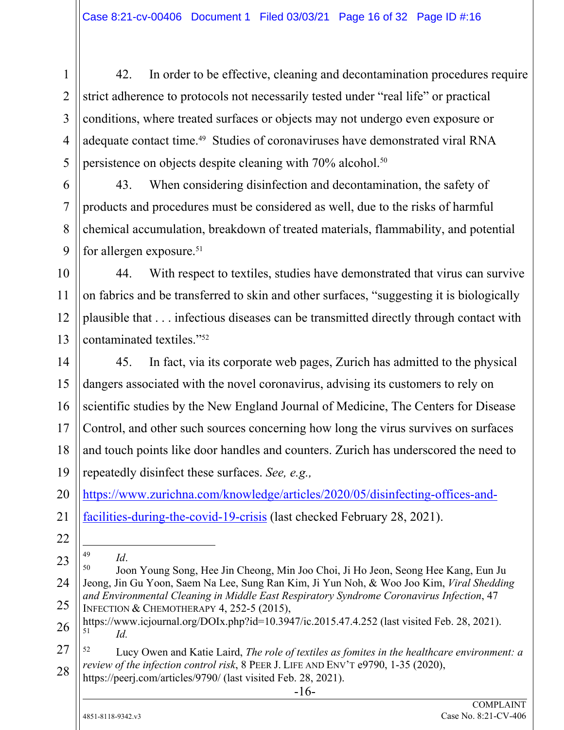2 3 4 5 42. In order to be effective, cleaning and decontamination procedures require strict adherence to protocols not necessarily tested under "real life" or practical conditions, where treated surfaces or objects may not undergo even exposure or adequate contact time.49 Studies of coronaviruses have demonstrated viral RNA persistence on objects despite cleaning with 70% alcohol.50

43. When considering disinfection and decontamination, the safety of products and procedures must be considered as well, due to the risks of harmful chemical accumulation, breakdown of treated materials, flammability, and potential for allergen exposure.<sup>51</sup>

10 11 12 13 44. With respect to textiles, studies have demonstrated that virus can survive on fabrics and be transferred to skin and other surfaces, "suggesting it is biologically plausible that . . . infectious diseases can be transmitted directly through contact with contaminated textiles."52

14 15 16 17 18 19 45. In fact, via its corporate web pages, Zurich has admitted to the physical dangers associated with the novel coronavirus, advising its customers to rely on scientific studies by the New England Journal of Medicine, The Centers for Disease Control, and other such sources concerning how long the virus survives on surfaces and touch points like door handles and counters. Zurich has underscored the need to repeatedly disinfect these surfaces. *See, e.g.,* 

20 https://www.zurichna.com/knowledge/articles/2020/05/disinfecting-offices-and-

21 facilities-during-the-covid-19-crisis (last checked February 28, 2021).

22

l

1

6

7

8

9

https://peerj.com/articles/9790/ (last visited Feb. 28, 2021).

<sup>23</sup> 24 25 <sup>49</sup> *Id. Id.* 50 *Id.* 50 *Id.* 50 Joon Young Song, Hee Jin Cheong, Min Joo Choi, Ji Ho Jeon, Seong Hee Kang, Eun Ju Jeong, Jin Gu Yoon, Saem Na Lee, Sung Ran Kim, Ji Yun Noh, & Woo Joo Kim, *Viral Shedding and Environmental Cleaning in Middle East Respiratory Syndrome Coronavirus Infection*, 47 INFECTION & CHEMOTHERAPY 4, 252-5 (2015),

<sup>26</sup> https://www.icjournal.org/DOIx.php?id=10.3947/ic.2015.47.4.252 (last visited Feb. 28, 2021).  $Id.$ 

<sup>27</sup> 28 52 Lucy Owen and Katie Laird, *The role of textiles as fomites in the healthcare environment: a review of the infection control risk*, 8 PEER J. LIFE AND ENV'T e9790, 1-35 (2020),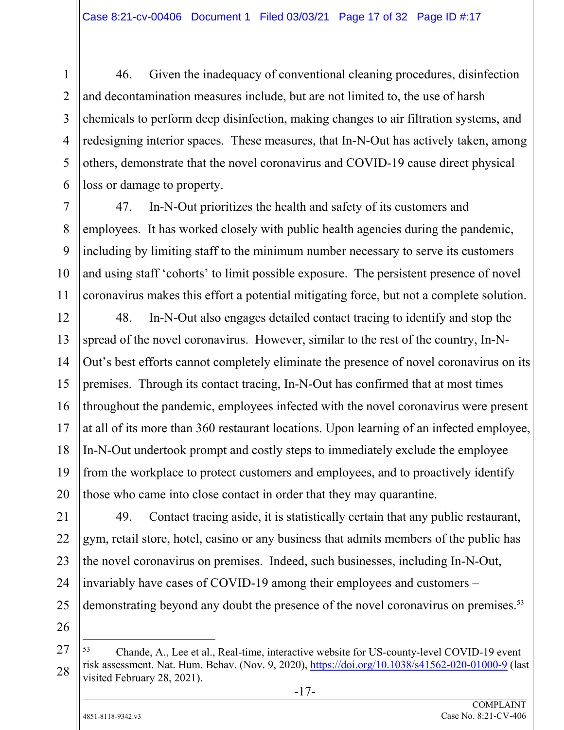46. Given the inadequacy of conventional cleaning procedures, disinfection and decontamination measures include, but are not limited to, the use of harsh chemicals to perform deep disinfection, making changes to air filtration systems, and redesigning interior spaces. These measures, that In-N-Out has actively taken, among others, demonstrate that the novel coronavirus and COVID-19 cause direct physical loss or damage to property.

47. In-N-Out prioritizes the health and safety of its customers and employees. It has worked closely with public health agencies during the pandemic, including by limiting staff to the minimum number necessary to serve its customers and using staff 'cohorts' to limit possible exposure. The persistent presence of novel coronavirus makes this effort a potential mitigating force, but not a complete solution.

12 13 14 15 16 17 18 19 20 48. In-N-Out also engages detailed contact tracing to identify and stop the spread of the novel coronavirus. However, similar to the rest of the country, In-N-Out's best efforts cannot completely eliminate the presence of novel coronavirus on its premises. Through its contact tracing, In-N-Out has confirmed that at most times throughout the pandemic, employees infected with the novel coronavirus were present at all of its more than 360 restaurant locations. Upon learning of an infected employee, In-N-Out undertook prompt and costly steps to immediately exclude the employee from the workplace to protect customers and employees, and to proactively identify those who came into close contact in order that they may quarantine.

21 22 23 24 25 49. Contact tracing aside, it is statistically certain that any public restaurant, gym, retail store, hotel, casino or any business that admits members of the public has the novel coronavirus on premises. Indeed, such businesses, including In-N-Out, invariably have cases of COVID-19 among their employees and customers – demonstrating beyond any doubt the presence of the novel coronavirus on premises.<sup>53</sup>

26

 $\overline{a}$ 

1

2

3

4

5

6

7

8

9

10

<sup>27</sup> 28 53 Chande, A., Lee et al., Real-time, interactive website for US-county-level COVID-19 event risk assessment. Nat. Hum. Behav. (Nov. 9, 2020), https://doi.org/10.1038/s41562-020-01000-9 (last visited February 28, 2021).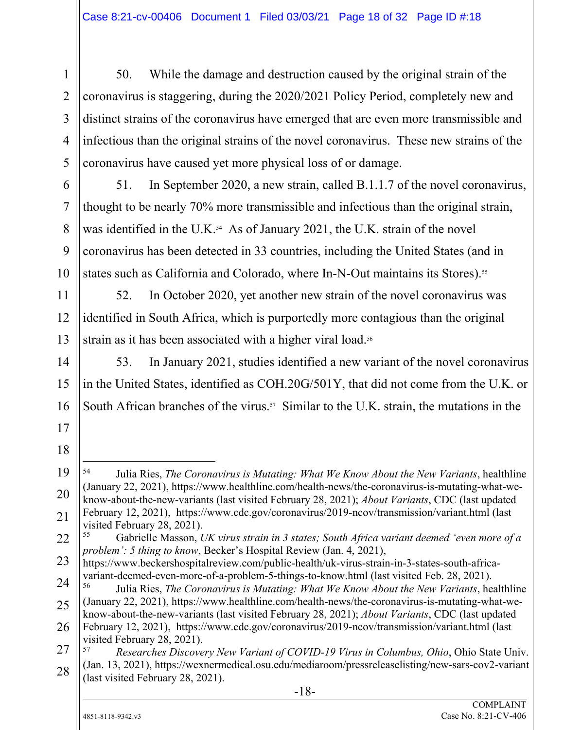50. While the damage and destruction caused by the original strain of the coronavirus is staggering, during the 2020/2021 Policy Period, completely new and distinct strains of the coronavirus have emerged that are even more transmissible and infectious than the original strains of the novel coronavirus. These new strains of the coronavirus have caused yet more physical loss of or damage.

51. In September 2020, a new strain, called B.1.1.7 of the novel coronavirus, thought to be nearly 70% more transmissible and infectious than the original strain, was identified in the U.K.<sup>54</sup> As of January 2021, the U.K. strain of the novel coronavirus has been detected in 33 countries, including the United States (and in states such as California and Colorado, where In-N-Out maintains its Stores).<sup>55</sup>

52. In October 2020, yet another new strain of the novel coronavirus was identified in South Africa, which is purportedly more contagious than the original strain as it has been associated with a higher viral load.<sup>56</sup>

53. In January 2021, studies identified a new variant of the novel coronavirus in the United States, identified as COH.20G/501Y, that did not come from the U.K. or South African branches of the virus.<sup>57</sup> Similar to the U.K. strain, the mutations in the

55 Gabrielle Masson, *UK virus strain in 3 states; South Africa variant deemed 'even more of a problem': 5 thing to know*, Becker's Hospital Review (Jan. 4, 2021),

1

2

3

4

5

6

7

8

9

10

11

12

13

14

15

16

17

18

19

20

21

 $\overline{a}$ 54 Julia Ries, *The Coronavirus is Mutating: What We Know About the New Variants*, healthline (January 22, 2021), https://www.healthline.com/health-news/the-coronavirus-is-mutating-what-weknow-about-the-new-variants (last visited February 28, 2021); *About Variants*, CDC (last updated February 12, 2021), https://www.cdc.gov/coronavirus/2019-ncov/transmission/variant.html (last visited February 28, 2021).

<sup>23</sup> https://www.beckershospitalreview.com/public-health/uk-virus-strain-in-3-states-south-africavariant-deemed-even-more-of-a-problem-5-things-to-know.html (last visited Feb. 28, 2021).

<sup>24</sup> 25 26 56 Julia Ries, *The Coronavirus is Mutating: What We Know About the New Variants*, healthline (January 22, 2021), https://www.healthline.com/health-news/the-coronavirus-is-mutating-what-weknow-about-the-new-variants (last visited February 28, 2021); *About Variants*, CDC (last updated February 12, 2021), https://www.cdc.gov/coronavirus/2019-ncov/transmission/variant.html (last visited February 28, 2021).

<sup>27</sup> 28 57 *Researches Discovery New Variant of COVID-19 Virus in Columbus, Ohio*, Ohio State Univ. (Jan. 13, 2021), https://wexnermedical.osu.edu/mediaroom/pressreleaselisting/new-sars-cov2-variant (last visited February 28, 2021).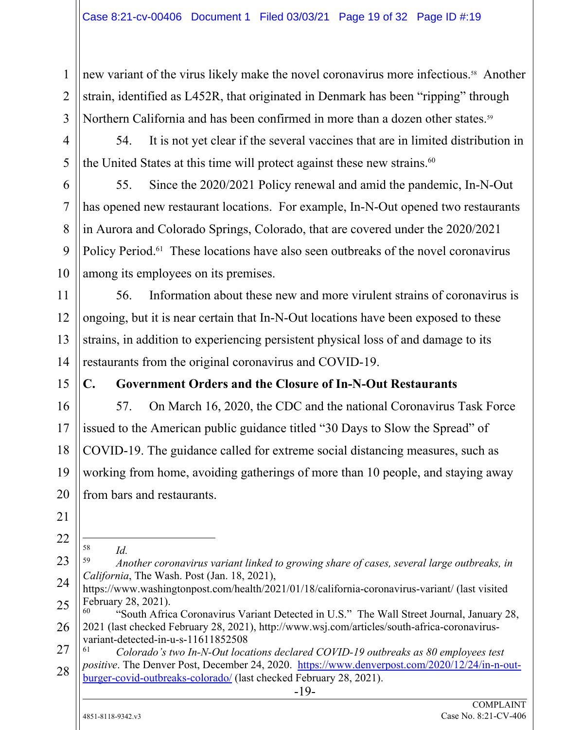new variant of the virus likely make the novel coronavirus more infectious.<sup>58</sup> Another strain, identified as L452R, that originated in Denmark has been "ripping" through Northern California and has been confirmed in more than a dozen other states.<sup>59</sup>

54. It is not yet clear if the several vaccines that are in limited distribution in the United States at this time will protect against these new strains.<sup>60</sup>

55. Since the 2020/2021 Policy renewal and amid the pandemic, In-N-Out has opened new restaurant locations. For example, In-N-Out opened two restaurants in Aurora and Colorado Springs, Colorado, that are covered under the 2020/2021 Policy Period.<sup>61</sup> These locations have also seen outbreaks of the novel coronavirus among its employees on its premises.

56. Information about these new and more virulent strains of coronavirus is ongoing, but it is near certain that In-N-Out locations have been exposed to these strains, in addition to experiencing persistent physical loss of and damage to its restaurants from the original coronavirus and COVID-19.

15

1

2

3

4

5

6

7

8

9

10

11

12

13

14

16

17

18

19

20

## **C. Government Orders and the Closure of In-N-Out Restaurants**

57. On March 16, 2020, the CDC and the national Coronavirus Task Force issued to the American public guidance titled "30 Days to Slow the Spread" of COVID-19. The guidance called for extreme social distancing measures, such as working from home, avoiding gatherings of more than 10 people, and staying away from bars and restaurants.

21 22

23

- 58
- <sup>58</sup>*Id.* 59 *Another coronavirus variant linked to growing share of cases, several large outbreaks, in California*, The Wash. Post (Jan. 18, 2021),
- 24 25 https://www.washingtonpost.com/health/2021/01/18/california-coronavirus-variant/ (last visited February 28, 2021).

26 "South Africa Coronavirus Variant Detected in U.S." The Wall Street Journal, January 28, 2021 (last checked February 28, 2021), http://www.wsj.com/articles/south-africa-coronavirusvariant-detected-in-u-s-11611852508

27 28 61 *Colorado's two In-N-Out locations declared COVID-19 outbreaks as 80 employees test positive*. The Denver Post, December 24, 2020. https://www.denverpost.com/2020/12/24/in-n-outburger-covid-outbreaks-colorado/ (last checked February 28, 2021).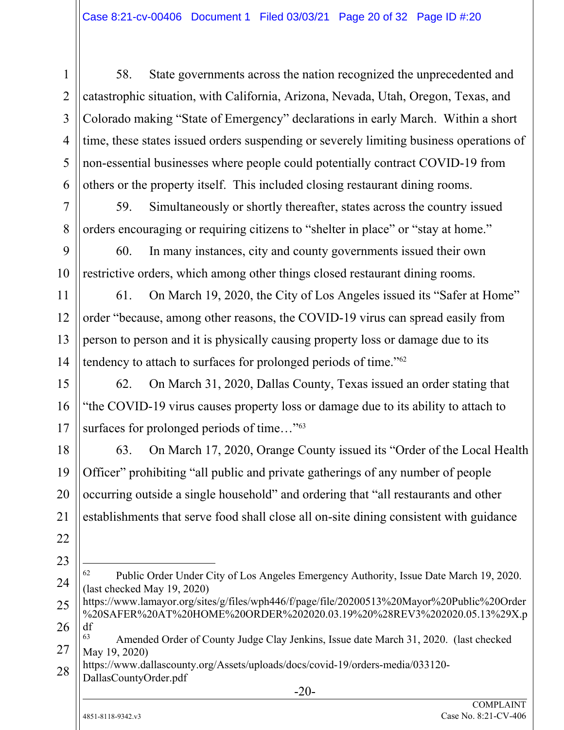58. State governments across the nation recognized the unprecedented and catastrophic situation, with California, Arizona, Nevada, Utah, Oregon, Texas, and Colorado making "State of Emergency" declarations in early March. Within a short time, these states issued orders suspending or severely limiting business operations of non-essential businesses where people could potentially contract COVID-19 from others or the property itself. This included closing restaurant dining rooms.

59. Simultaneously or shortly thereafter, states across the country issued orders encouraging or requiring citizens to "shelter in place" or "stay at home."

60. In many instances, city and county governments issued their own restrictive orders, which among other things closed restaurant dining rooms.

61. On March 19, 2020, the City of Los Angeles issued its "Safer at Home" order "because, among other reasons, the COVID-19 virus can spread easily from person to person and it is physically causing property loss or damage due to its tendency to attach to surfaces for prolonged periods of time."62

15 16 17 62. On March 31, 2020, Dallas County, Texas issued an order stating that "the COVID-19 virus causes property loss or damage due to its ability to attach to surfaces for prolonged periods of time..."<sup>63</sup>

63. On March 17, 2020, Orange County issued its "Order of the Local Health Officer" prohibiting "all public and private gatherings of any number of people occurring outside a single household" and ordering that "all restaurants and other establishments that serve food shall close all on-site dining consistent with guidance

24 62 Public Order Under City of Los Angeles Emergency Authority, Issue Date March 19, 2020. (last checked May 19, 2020)

25 26 https://www.lamayor.org/sites/g/files/wph446/f/page/file/20200513%20Mayor%20Public%20Order %20SAFER%20AT%20HOME%20ORDER%202020.03.19%20%28REV3%202020.05.13%29X.p df<br><sup>63</sup>

DallasCountyOrder.pdf

1

2

3

4

5

6

7

8

9

10

11

12

13

14

18

19

20

21

22

<sup>27</sup> Amended Order of County Judge Clay Jenkins, Issue date March 31, 2020. (last checked May 19, 2020)

<sup>28</sup> https://www.dallascounty.org/Assets/uploads/docs/covid-19/orders-media/033120-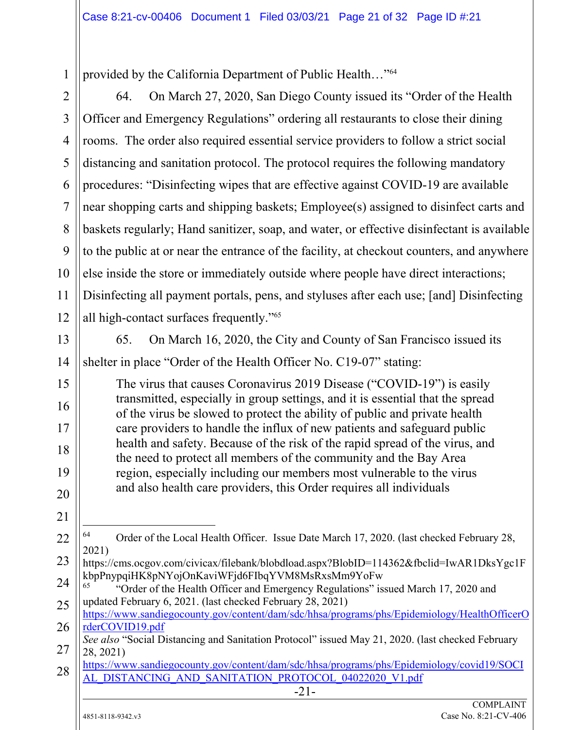provided by the California Department of Public Health…"64

-21- 2 3 4 5 6 7 8 9 10 11 12 13 14 15 16 17 18 19 20 21 22 23 24 25 26 27 28 64. On March 27, 2020, San Diego County issued its "Order of the Health Officer and Emergency Regulations" ordering all restaurants to close their dining rooms. The order also required essential service providers to follow a strict social distancing and sanitation protocol. The protocol requires the following mandatory procedures: "Disinfecting wipes that are effective against COVID-19 are available near shopping carts and shipping baskets; Employee(s) assigned to disinfect carts and baskets regularly; Hand sanitizer, soap, and water, or effective disinfectant is available to the public at or near the entrance of the facility, at checkout counters, and anywhere else inside the store or immediately outside where people have direct interactions; Disinfecting all payment portals, pens, and styluses after each use; [and] Disinfecting all high-contact surfaces frequently."65 65. On March 16, 2020, the City and County of San Francisco issued its shelter in place "Order of the Health Officer No. C19-07" stating: The virus that causes Coronavirus 2019 Disease ("COVID-19") is easily transmitted, especially in group settings, and it is essential that the spread of the virus be slowed to protect the ability of public and private health care providers to handle the influx of new patients and safeguard public health and safety. Because of the risk of the rapid spread of the virus, and the need to protect all members of the community and the Bay Area region, especially including our members most vulnerable to the virus and also health care providers, this Order requires all individuals  $\overline{a}$ <sup>64</sup> Order of the Local Health Officer. Issue Date March 17, 2020. (last checked February 28, 2021) https://cms.ocgov.com/civicax/filebank/blobdload.aspx?BlobID=114362&fbclid=IwAR1DksYgc1F kbpPnypqiHK8pNYojOnKaviWFjd6FIbqYVM8MsRxsMm9YoFw 65 "Order of the Health Officer and Emergency Regulations" issued March 17, 2020 and updated February 6, 2021. (last checked February 28, 2021) https://www.sandiegocounty.gov/content/dam/sdc/hhsa/programs/phs/Epidemiology/HealthOfficerO rderCOVID19.pdf *See also* "Social Distancing and Sanitation Protocol" issued May 21, 2020. (last checked February 28, 2021) https://www.sandiegocounty.gov/content/dam/sdc/hhsa/programs/phs/Epidemiology/covid19/SOCI AL\_DISTANCING\_AND\_SANITATION\_PROTOCOL\_04022020\_V1.pdf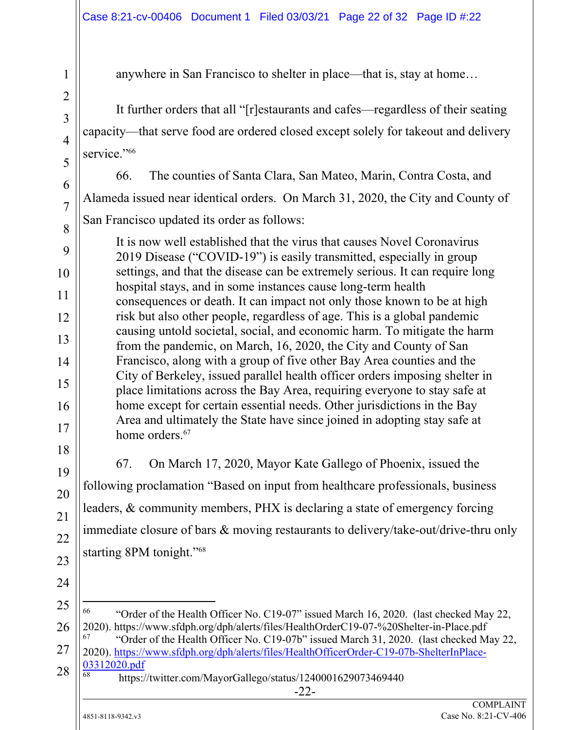anywhere in San Francisco to shelter in place—that is, stay at home…

It further orders that all "[r]estaurants and cafes—regardless of their seating capacity—that serve food are ordered closed except solely for takeout and delivery service."<sup>66</sup>

66. The counties of Santa Clara, San Mateo, Marin, Contra Costa, and Alameda issued near identical orders. On March 31, 2020, the City and County of San Francisco updated its order as follows:

It is now well established that the virus that causes Novel Coronavirus 2019 Disease ("COVID-19") is easily transmitted, especially in group settings, and that the disease can be extremely serious. It can require long hospital stays, and in some instances cause long-term health consequences or death. It can impact not only those known to be at high risk but also other people, regardless of age. This is a global pandemic causing untold societal, social, and economic harm. To mitigate the harm from the pandemic, on March, 16, 2020, the City and County of San Francisco, along with a group of five other Bay Area counties and the City of Berkeley, issued parallel health officer orders imposing shelter in place limitations across the Bay Area, requiring everyone to stay safe at home except for certain essential needs. Other jurisdictions in the Bay Area and ultimately the State have since joined in adopting stay safe at home orders.<sup>67</sup>

67. On March 17, 2020, Mayor Kate Gallego of Phoenix, issued the following proclamation "Based on input from healthcare professionals, business leaders, & community members, PHX is declaring a state of emergency forcing immediate closure of bars & moving restaurants to delivery/take-out/drive-thru only starting 8PM tonight."68

24

1

2

3

4

5

6

7

8

9

10

11

12

13

14

15

16

17

18

19

20

21

22

23

25

 $\overline{a}$ 

26

66 "Order of the Health Officer No. C19-07" issued March 16, 2020. (last checked May 22, 2020). https://www.sfdph.org/dph/alerts/files/HealthOrderC19-07-%20Shelter-in-Place.pdf 67 "Order of the Health Officer No. C19-07b" issued March 31, 2020. (last checked May 22,

27 28 2020). https://www.sfdph.org/dph/alerts/files/HealthOfficerOrder-C19-07b-ShelterInPlace- $\frac{03312020.pdf}{68}$ 

68 https://twitter.com/MayorGallego/status/1240001629073469440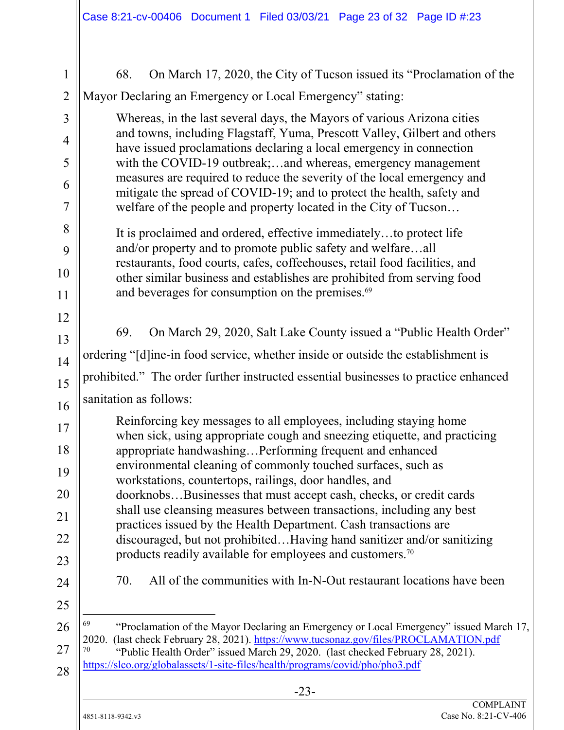| $\mathbf{1}$   | On March 17, 2020, the City of Tucson issued its "Proclamation of the<br>68.                                                                                                                 |  |  |  |  |  |
|----------------|----------------------------------------------------------------------------------------------------------------------------------------------------------------------------------------------|--|--|--|--|--|
| $\overline{2}$ | Mayor Declaring an Emergency or Local Emergency" stating:                                                                                                                                    |  |  |  |  |  |
| 3              | Whereas, in the last several days, the Mayors of various Arizona cities<br>and towns, including Flagstaff, Yuma, Prescott Valley, Gilbert and others                                         |  |  |  |  |  |
| 4<br>5         | have issued proclamations declaring a local emergency in connection<br>with the COVID-19 outbreak;and whereas, emergency management                                                          |  |  |  |  |  |
| 6              | measures are required to reduce the severity of the local emergency and<br>mitigate the spread of COVID-19; and to protect the health, safety and                                            |  |  |  |  |  |
| $\overline{7}$ | welfare of the people and property located in the City of Tucson                                                                                                                             |  |  |  |  |  |
| 8              | It is proclaimed and ordered, effective immediatelyto protect life                                                                                                                           |  |  |  |  |  |
| 9<br>10        | and/or property and to promote public safety and welfareall<br>restaurants, food courts, cafes, coffeehouses, retail food facilities, and                                                    |  |  |  |  |  |
| 11             | other similar business and establishes are prohibited from serving food<br>and beverages for consumption on the premises. <sup>69</sup>                                                      |  |  |  |  |  |
| 12             |                                                                                                                                                                                              |  |  |  |  |  |
| 13             | On March 29, 2020, Salt Lake County issued a "Public Health Order"<br>69.                                                                                                                    |  |  |  |  |  |
| 14             | ordering "[d]ine-in food service, whether inside or outside the establishment is                                                                                                             |  |  |  |  |  |
| 15             | prohibited." The order further instructed essential businesses to practice enhanced                                                                                                          |  |  |  |  |  |
| 16             | sanitation as follows:                                                                                                                                                                       |  |  |  |  |  |
| 17             | Reinforcing key messages to all employees, including staying home<br>when sick, using appropriate cough and sneezing etiquette, and practicing                                               |  |  |  |  |  |
| 18             | appropriate handwashingPerforming frequent and enhanced                                                                                                                                      |  |  |  |  |  |
| 19             | environmental cleaning of commonly touched surfaces, such as<br>workstations, countertops, railings, door handles, and<br>doorknobsBusinesses that must accept cash, checks, or credit cards |  |  |  |  |  |
| 20             |                                                                                                                                                                                              |  |  |  |  |  |
| 21             | shall use cleansing measures between transactions, including any best<br>practices issued by the Health Department. Cash transactions are                                                    |  |  |  |  |  |
| 22             | discouraged, but not prohibitedHaving hand sanitizer and/or sanitizing<br>products readily available for employees and customers. <sup>70</sup>                                              |  |  |  |  |  |
| 23             |                                                                                                                                                                                              |  |  |  |  |  |
| 24             | All of the communities with In-N-Out restaurant locations have been<br>70.                                                                                                                   |  |  |  |  |  |
| 25             |                                                                                                                                                                                              |  |  |  |  |  |
| 26             | 69<br>"Proclamation of the Mayor Declaring an Emergency or Local Emergency" issued March 17,<br>2020. (last check February 28, 2021). https://www.tucsonaz.gov/files/PROCLAMATION.pdf        |  |  |  |  |  |
| 27<br>28       | 70<br>"Public Health Order" issued March 29, 2020. (last checked February 28, 2021).<br>https://slco.org/globalassets/1-site-files/health/programs/covid/pho/pho3.pdf                        |  |  |  |  |  |
|                | $-23-$                                                                                                                                                                                       |  |  |  |  |  |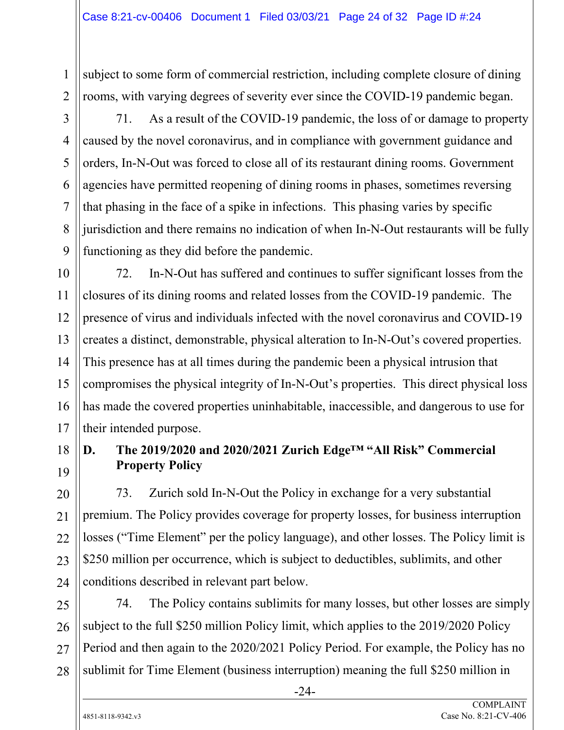subject to some form of commercial restriction, including complete closure of dining rooms, with varying degrees of severity ever since the COVID-19 pandemic began.

1

2

3

4

5

6

7

8

9

71. As a result of the COVID-19 pandemic, the loss of or damage to property caused by the novel coronavirus, and in compliance with government guidance and orders, In-N-Out was forced to close all of its restaurant dining rooms. Government agencies have permitted reopening of dining rooms in phases, sometimes reversing that phasing in the face of a spike in infections. This phasing varies by specific jurisdiction and there remains no indication of when In-N-Out restaurants will be fully functioning as they did before the pandemic.

10 11 12 13 14 15 16 17 72. In-N-Out has suffered and continues to suffer significant losses from the closures of its dining rooms and related losses from the COVID-19 pandemic. The presence of virus and individuals infected with the novel coronavirus and COVID-19 creates a distinct, demonstrable, physical alteration to In-N-Out's covered properties. This presence has at all times during the pandemic been a physical intrusion that compromises the physical integrity of In-N-Out's properties. This direct physical loss has made the covered properties uninhabitable, inaccessible, and dangerous to use for their intended purpose.

# **D. The 2019/2020 and 2020/2021 Zurich Edge™ "All Risk" Commercial Property Policy**

73. Zurich sold In-N-Out the Policy in exchange for a very substantial premium. The Policy provides coverage for property losses, for business interruption losses ("Time Element" per the policy language), and other losses. The Policy limit is \$250 million per occurrence, which is subject to deductibles, sublimits, and other conditions described in relevant part below.

25 26 27 28 74. The Policy contains sublimits for many losses, but other losses are simply subject to the full \$250 million Policy limit, which applies to the 2019/2020 Policy Period and then again to the 2020/2021 Policy Period. For example, the Policy has no sublimit for Time Element (business interruption) meaning the full \$250 million in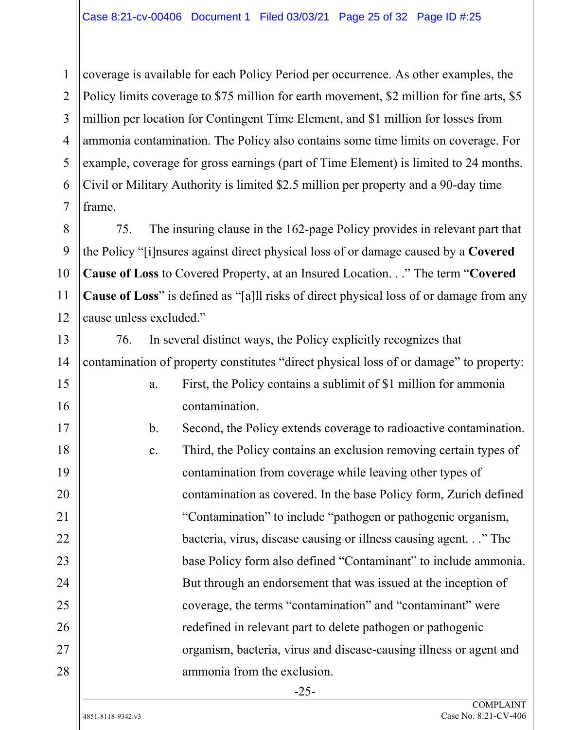coverage is available for each Policy Period per occurrence. As other examples, the Policy limits coverage to \$75 million for earth movement, \$2 million for fine arts, \$5 million per location for Contingent Time Element, and \$1 million for losses from ammonia contamination. The Policy also contains some time limits on coverage. For example, coverage for gross earnings (part of Time Element) is limited to 24 months. Civil or Military Authority is limited \$2.5 million per property and a 90-day time frame.

75. The insuring clause in the 162-page Policy provides in relevant part that the Policy "[i]nsures against direct physical loss of or damage caused by a **Covered Cause of Loss** to Covered Property, at an Insured Location. . ." The term "**Covered Cause of Loss**" is defined as "[a]ll risks of direct physical loss of or damage from any cause unless excluded."

76. In several distinct ways, the Policy explicitly recognizes that contamination of property constitutes "direct physical loss of or damage" to property:

> a. First, the Policy contains a sublimit of \$1 million for ammonia contamination.

b. Second, the Policy extends coverage to radioactive contamination. c. Third, the Policy contains an exclusion removing certain types of contamination from coverage while leaving other types of contamination as covered. In the base Policy form, Zurich defined "Contamination" to include "pathogen or pathogenic organism, bacteria, virus, disease causing or illness causing agent. . ." The base Policy form also defined "Contaminant" to include ammonia. But through an endorsement that was issued at the inception of coverage, the terms "contamination" and "contaminant" were redefined in relevant part to delete pathogen or pathogenic organism, bacteria, virus and disease-causing illness or agent and ammonia from the exclusion.

1

2

3

4

5

6

7

8

9

10

11

12

13

14

15

16

17

18

19

20

21

22

23

24

25

26

27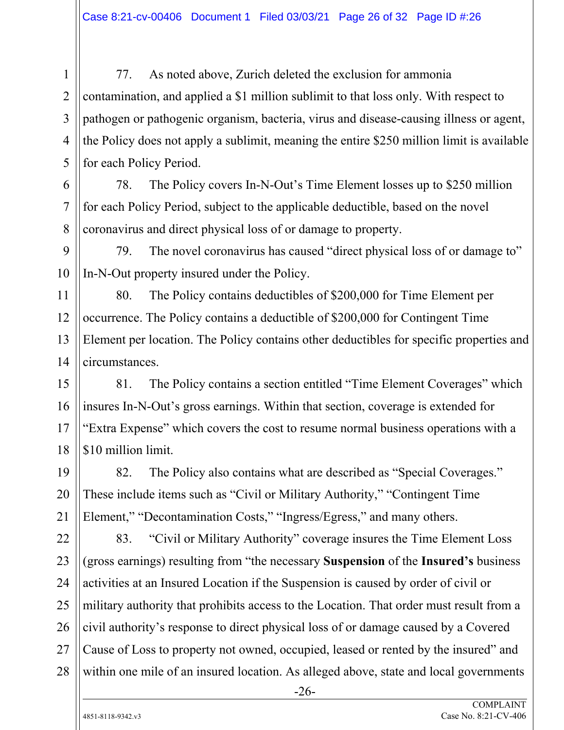77. As noted above, Zurich deleted the exclusion for ammonia contamination, and applied a \$1 million sublimit to that loss only. With respect to pathogen or pathogenic organism, bacteria, virus and disease-causing illness or agent, the Policy does not apply a sublimit, meaning the entire \$250 million limit is available for each Policy Period.

78. The Policy covers In-N-Out's Time Element losses up to \$250 million for each Policy Period, subject to the applicable deductible, based on the novel coronavirus and direct physical loss of or damage to property.

79. The novel coronavirus has caused "direct physical loss of or damage to" In-N-Out property insured under the Policy.

80. The Policy contains deductibles of \$200,000 for Time Element per occurrence. The Policy contains a deductible of \$200,000 for Contingent Time Element per location. The Policy contains other deductibles for specific properties and circumstances.

81. The Policy contains a section entitled "Time Element Coverages" which insures In-N-Out's gross earnings. Within that section, coverage is extended for "Extra Expense" which covers the cost to resume normal business operations with a \$10 million limit.

82. The Policy also contains what are described as "Special Coverages." These include items such as "Civil or Military Authority," "Contingent Time Element," "Decontamination Costs," "Ingress/Egress," and many others.

83. "Civil or Military Authority" coverage insures the Time Element Loss (gross earnings) resulting from "the necessary **Suspension** of the **Insured's** business activities at an Insured Location if the Suspension is caused by order of civil or military authority that prohibits access to the Location. That order must result from a civil authority's response to direct physical loss of or damage caused by a Covered Cause of Loss to property not owned, occupied, leased or rented by the insured" and within one mile of an insured location. As alleged above, state and local governments

-26-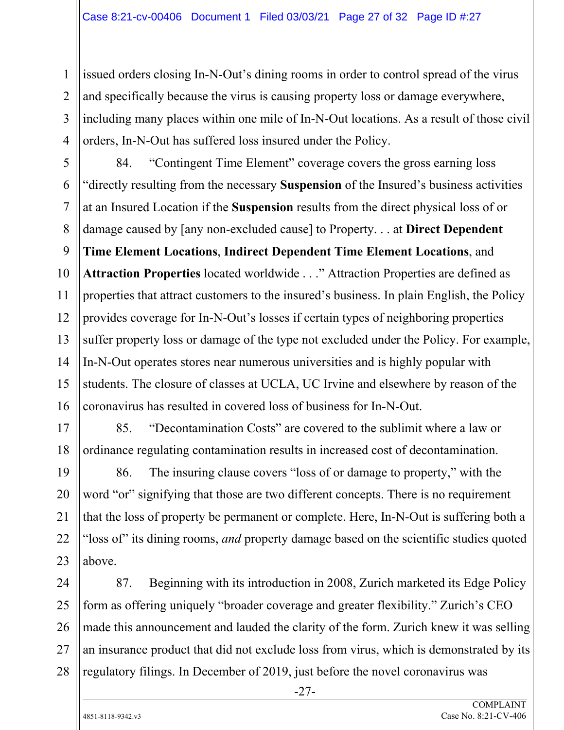issued orders closing In-N-Out's dining rooms in order to control spread of the virus and specifically because the virus is causing property loss or damage everywhere, including many places within one mile of In-N-Out locations. As a result of those civil orders, In-N-Out has suffered loss insured under the Policy.

16 84. "Contingent Time Element" coverage covers the gross earning loss "directly resulting from the necessary **Suspension** of the Insured's business activities at an Insured Location if the **Suspension** results from the direct physical loss of or damage caused by [any non-excluded cause] to Property. . . at **Direct Dependent Time Element Locations**, **Indirect Dependent Time Element Locations**, and **Attraction Properties** located worldwide . . ." Attraction Properties are defined as properties that attract customers to the insured's business. In plain English, the Policy provides coverage for In-N-Out's losses if certain types of neighboring properties suffer property loss or damage of the type not excluded under the Policy. For example, In-N-Out operates stores near numerous universities and is highly popular with students. The closure of classes at UCLA, UC Irvine and elsewhere by reason of the coronavirus has resulted in covered loss of business for In-N-Out.

85. "Decontamination Costs" are covered to the sublimit where a law or ordinance regulating contamination results in increased cost of decontamination.

19 20 21 22 23 86. The insuring clause covers "loss of or damage to property," with the word "or" signifying that those are two different concepts. There is no requirement that the loss of property be permanent or complete. Here, In-N-Out is suffering both a "loss of" its dining rooms, *and* property damage based on the scientific studies quoted above.

24 25 26 27 28 87. Beginning with its introduction in 2008, Zurich marketed its Edge Policy form as offering uniquely "broader coverage and greater flexibility." Zurich's CEO made this announcement and lauded the clarity of the form. Zurich knew it was selling an insurance product that did not exclude loss from virus, which is demonstrated by its regulatory filings. In December of 2019, just before the novel coronavirus was

-27-

1

2

3

4

5

6

7

8

9

10

11

12

13

14

15

17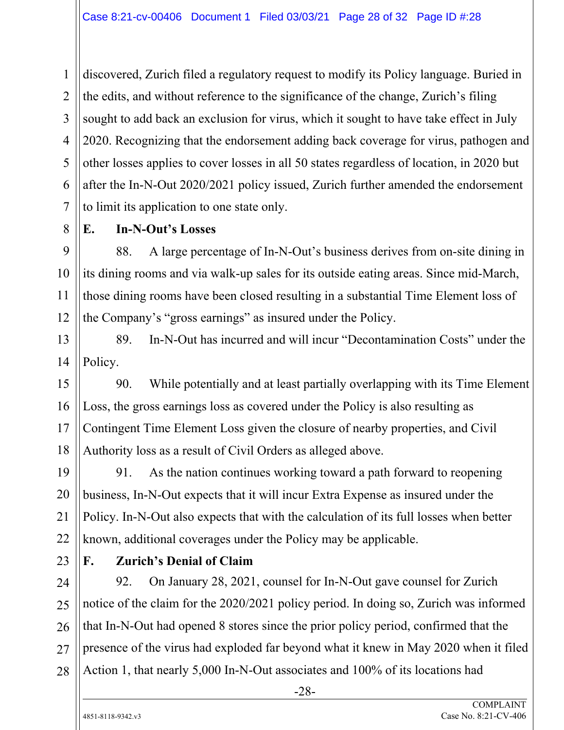discovered, Zurich filed a regulatory request to modify its Policy language. Buried in the edits, and without reference to the significance of the change, Zurich's filing sought to add back an exclusion for virus, which it sought to have take effect in July 2020. Recognizing that the endorsement adding back coverage for virus, pathogen and other losses applies to cover losses in all 50 states regardless of location, in 2020 but after the In-N-Out 2020/2021 policy issued, Zurich further amended the endorsement to limit its application to one state only.

8

1

2

3

4

5

6

7

9

10

11

12

15

16

17

18

19

20

21

22

#### **E. In-N-Out's Losses**

88. A large percentage of In-N-Out's business derives from on-site dining in its dining rooms and via walk-up sales for its outside eating areas. Since mid-March, those dining rooms have been closed resulting in a substantial Time Element loss of the Company's "gross earnings" as insured under the Policy.

13 14 89. In-N-Out has incurred and will incur "Decontamination Costs" under the Policy.

90. While potentially and at least partially overlapping with its Time Element Loss, the gross earnings loss as covered under the Policy is also resulting as Contingent Time Element Loss given the closure of nearby properties, and Civil Authority loss as a result of Civil Orders as alleged above.

91. As the nation continues working toward a path forward to reopening business, In-N-Out expects that it will incur Extra Expense as insured under the Policy. In-N-Out also expects that with the calculation of its full losses when better known, additional coverages under the Policy may be applicable.

23

24

25

26

27

## **F. Zurich's Denial of Claim**

28 92. On January 28, 2021, counsel for In-N-Out gave counsel for Zurich notice of the claim for the 2020/2021 policy period. In doing so, Zurich was informed that In-N-Out had opened 8 stores since the prior policy period, confirmed that the presence of the virus had exploded far beyond what it knew in May 2020 when it filed Action 1, that nearly 5,000 In-N-Out associates and 100% of its locations had

-28-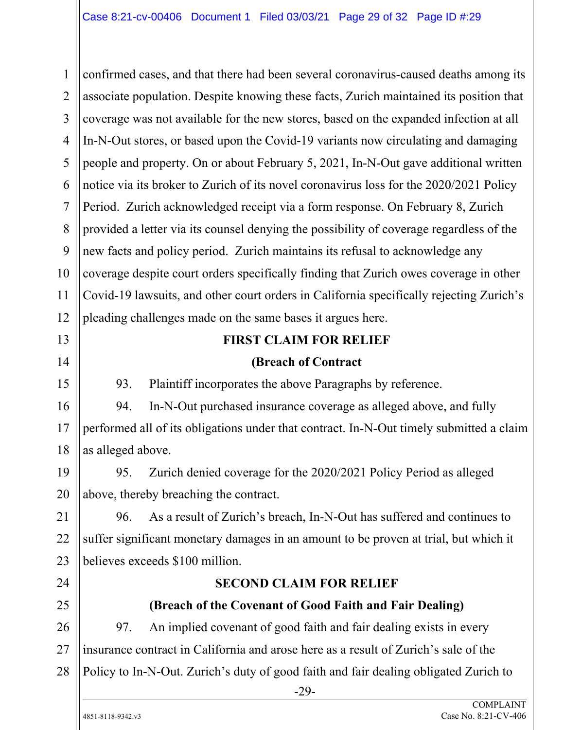1 2 3 4 5 6 7 8 9 10 11 12 13 confirmed cases, and that there had been several coronavirus-caused deaths among its associate population. Despite knowing these facts, Zurich maintained its position that coverage was not available for the new stores, based on the expanded infection at all In-N-Out stores, or based upon the Covid-19 variants now circulating and damaging people and property. On or about February 5, 2021, In-N-Out gave additional written notice via its broker to Zurich of its novel coronavirus loss for the 2020/2021 Policy Period. Zurich acknowledged receipt via a form response. On February 8, Zurich provided a letter via its counsel denying the possibility of coverage regardless of the new facts and policy period. Zurich maintains its refusal to acknowledge any coverage despite court orders specifically finding that Zurich owes coverage in other Covid-19 lawsuits, and other court orders in California specifically rejecting Zurich's pleading challenges made on the same bases it argues here.

#### **FIRST CLAIM FOR RELIEF**

#### **(Breach of Contract**

93. Plaintiff incorporates the above Paragraphs by reference.

94. In-N-Out purchased insurance coverage as alleged above, and fully performed all of its obligations under that contract. In-N-Out timely submitted a claim as alleged above.

19 20 95. Zurich denied coverage for the 2020/2021 Policy Period as alleged above, thereby breaching the contract.

21 22 23 96. As a result of Zurich's breach, In-N-Out has suffered and continues to suffer significant monetary damages in an amount to be proven at trial, but which it believes exceeds \$100 million.

24

14

15

16

17

18

# 25

#### **(Breach of the Covenant of Good Faith and Fair Dealing)**

**SECOND CLAIM FOR RELIEF** 

26 27 28 97. An implied covenant of good faith and fair dealing exists in every insurance contract in California and arose here as a result of Zurich's sale of the Policy to In-N-Out. Zurich's duty of good faith and fair dealing obligated Zurich to

-29-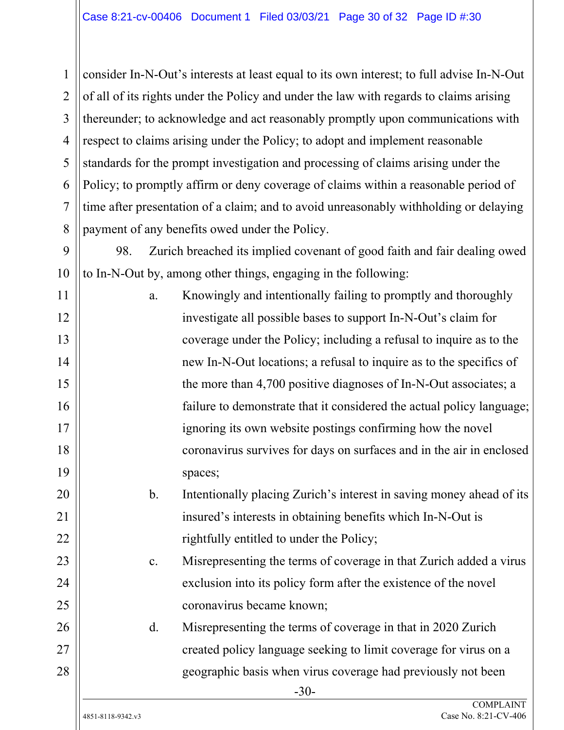1 2 3 4 5 6 7 8 consider In-N-Out's interests at least equal to its own interest; to full advise In-N-Out of all of its rights under the Policy and under the law with regards to claims arising thereunder; to acknowledge and act reasonably promptly upon communications with respect to claims arising under the Policy; to adopt and implement reasonable standards for the prompt investigation and processing of claims arising under the Policy; to promptly affirm or deny coverage of claims within a reasonable period of time after presentation of a claim; and to avoid unreasonably withholding or delaying payment of any benefits owed under the Policy.

98. Zurich breached its implied covenant of good faith and fair dealing owed to In-N-Out by, among other things, engaging in the following:

| 11 | a. | Knowingly and intentionally failing to promptly and thoroughly        |
|----|----|-----------------------------------------------------------------------|
| 12 |    | investigate all possible bases to support In-N-Out's claim for        |
| 13 |    | coverage under the Policy; including a refusal to inquire as to the   |
| 14 |    | new In-N-Out locations; a refusal to inquire as to the specifics of   |
| 15 |    | the more than 4,700 positive diagnoses of In-N-Out associates; a      |
| 16 |    | failure to demonstrate that it considered the actual policy language; |
| 17 |    | ignoring its own website postings confirming how the novel            |
| 18 |    | coronavirus survives for days on surfaces and in the air in enclosed  |
| 19 |    | spaces;                                                               |
| 20 | b. | Intentionally placing Zurich's interest in saving money ahead of its  |

b. Intentionally placing Zurich's interest in saving money ahead of its insured's interests in obtaining benefits which In-N-Out is rightfully entitled to under the Policy;

c. Misrepresenting the terms of coverage in that Zurich added a virus exclusion into its policy form after the existence of the novel coronavirus became known;

d. Misrepresenting the terms of coverage in that in 2020 Zurich created policy language seeking to limit coverage for virus on a geographic basis when virus coverage had previously not been

9

10

21

22

23

24

25

26

27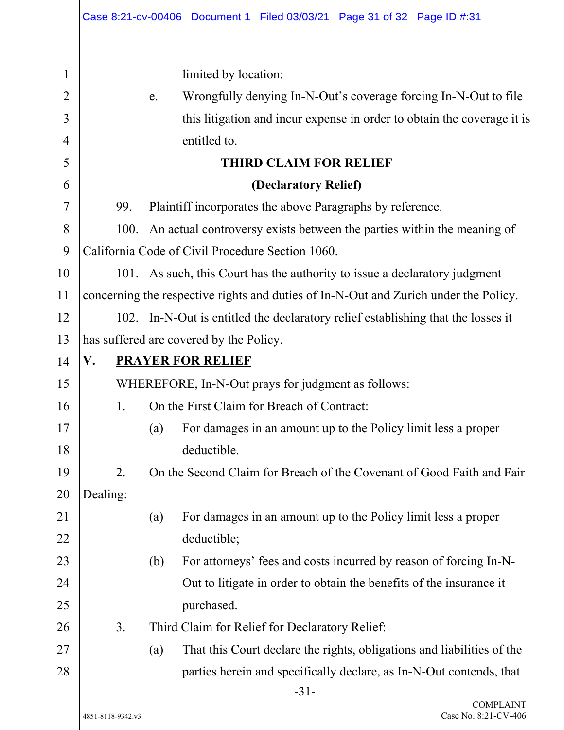|                |                                                                                  | Case 8:21-cv-00406 Document 1 Filed 03/03/21 Page 31 of 32 Page ID #:31              |  |  |  |
|----------------|----------------------------------------------------------------------------------|--------------------------------------------------------------------------------------|--|--|--|
| 1              |                                                                                  | limited by location;                                                                 |  |  |  |
| $\overline{2}$ | Wrongfully denying In-N-Out's coverage forcing In-N-Out to file<br>e.            |                                                                                      |  |  |  |
| 3              | this litigation and incur expense in order to obtain the coverage it is          |                                                                                      |  |  |  |
| $\overline{4}$ | entitled to.                                                                     |                                                                                      |  |  |  |
| 5              | <b>THIRD CLAIM FOR RELIEF</b>                                                    |                                                                                      |  |  |  |
| 6              | (Declaratory Relief)                                                             |                                                                                      |  |  |  |
| 7              | 99.                                                                              | Plaintiff incorporates the above Paragraphs by reference.                            |  |  |  |
| 8              | 100.                                                                             | An actual controversy exists between the parties within the meaning of               |  |  |  |
| 9              |                                                                                  | California Code of Civil Procedure Section 1060.                                     |  |  |  |
| 10             |                                                                                  | 101. As such, this Court has the authority to issue a declaratory judgment           |  |  |  |
| 11             |                                                                                  | concerning the respective rights and duties of In-N-Out and Zurich under the Policy. |  |  |  |
| 12             | 102. In-N-Out is entitled the declaratory relief establishing that the losses it |                                                                                      |  |  |  |
| 13             |                                                                                  | has suffered are covered by the Policy.                                              |  |  |  |
| 14             | V.                                                                               | <b>PRAYER FOR RELIEF</b>                                                             |  |  |  |
| 15             |                                                                                  | WHEREFORE, In-N-Out prays for judgment as follows:                                   |  |  |  |
| 16             | 1.                                                                               | On the First Claim for Breach of Contract:                                           |  |  |  |
| 17<br>18       |                                                                                  | (a)<br>For damages in an amount up to the Policy limit less a proper<br>deductible.  |  |  |  |
| 19             | 2.                                                                               | On the Second Claim for Breach of the Covenant of Good Faith and Fair                |  |  |  |
| 20             | Dealing:                                                                         |                                                                                      |  |  |  |
| 21<br>22       |                                                                                  | For damages in an amount up to the Policy limit less a proper<br>(a)<br>deductible;  |  |  |  |
| 23             |                                                                                  | For attorneys' fees and costs incurred by reason of forcing In-N-<br>(b)             |  |  |  |
| 24             |                                                                                  | Out to litigate in order to obtain the benefits of the insurance it                  |  |  |  |
| 25             |                                                                                  | purchased.                                                                           |  |  |  |
| 26             | 3.                                                                               | Third Claim for Relief for Declaratory Relief:                                       |  |  |  |
| 27             |                                                                                  | That this Court declare the rights, obligations and liabilities of the<br>(a)        |  |  |  |
| 28             | parties herein and specifically declare, as In-N-Out contends, that<br>$-31-$    |                                                                                      |  |  |  |
|                | 4851-8118-9342.v3                                                                | <b>COMPLAINT</b><br>Case No. 8:21-CV-406                                             |  |  |  |